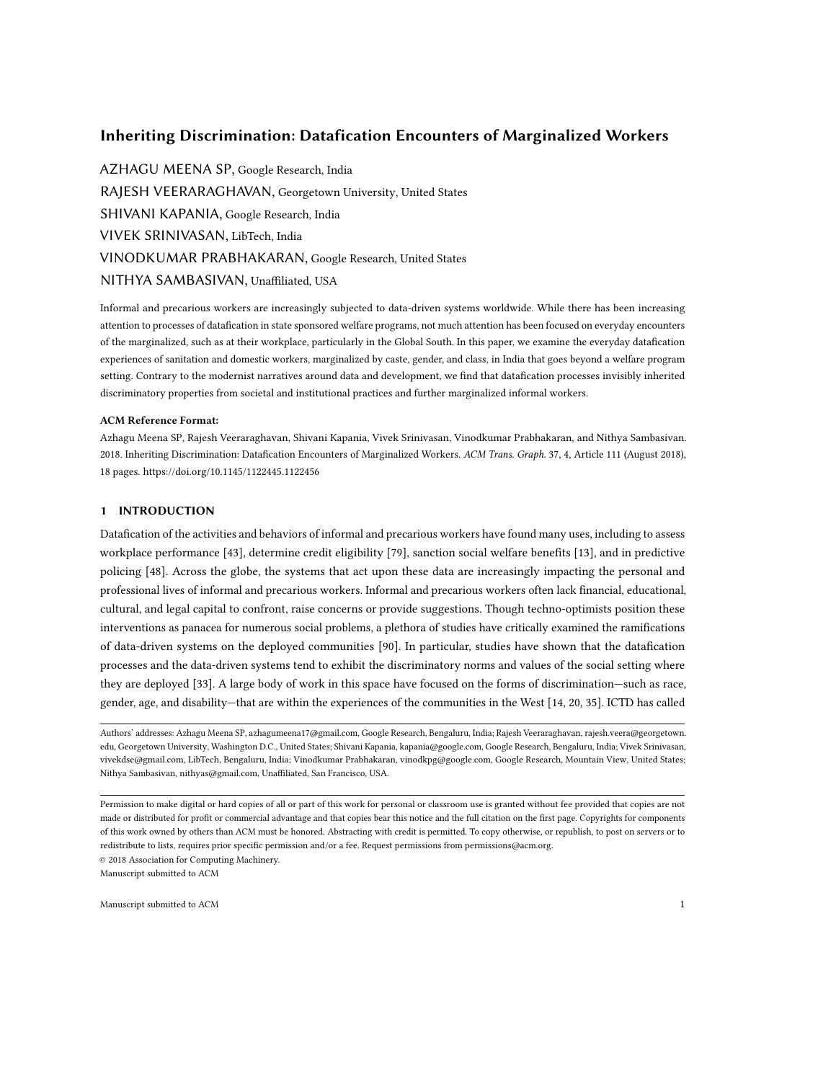# Inheriting Discrimination: Datafication Encounters of Marginalized Workers

AZHAGU MEENA SP, Google Research, India RAJESH VEERARAGHAVAN, Georgetown University, United States SHIVANI KAPANIA, Google Research, India VIVEK SRINIVASAN, LibTech, India VINODKUMAR PRABHAKARAN, Google Research, United States NITHYA SAMBASIVAN, Unaffiliated, USA

Informal and precarious workers are increasingly subjected to data-driven systems worldwide. While there has been increasing attention to processes of datafication in state sponsored welfare programs, not much attention has been focused on everyday encounters of the marginalized, such as at their workplace, particularly in the Global South. In this paper, we examine the everyday datafication experiences of sanitation and domestic workers, marginalized by caste, gender, and class, in India that goes beyond a welfare program setting. Contrary to the modernist narratives around data and development, we find that datafication processes invisibly inherited discriminatory properties from societal and institutional practices and further marginalized informal workers.

#### ACM Reference Format:

Azhagu Meena SP, Rajesh Veeraraghavan, Shivani Kapania, Vivek Srinivasan, Vinodkumar Prabhakaran, and Nithya Sambasivan. 2018. Inheriting Discrimination: Datafication Encounters of Marginalized Workers. ACM Trans. Graph. 37, 4, Article 111 (August 2018), [18](#page-17-0) pages.<https://doi.org/10.1145/1122445.1122456>

# 1 INTRODUCTION

Datafication of the activities and behaviors of informal and precarious workers have found many uses, including to assess workplace performance [\[43\]](#page-15-0), determine credit eligibility [\[79\]](#page-17-1), sanction social welfare benefits [\[13\]](#page-15-1), and in predictive policing [\[48\]](#page-16-0). Across the globe, the systems that act upon these data are increasingly impacting the personal and professional lives of informal and precarious workers. Informal and precarious workers often lack financial, educational, cultural, and legal capital to confront, raise concerns or provide suggestions. Though techno-optimists position these interventions as panacea for numerous social problems, a plethora of studies have critically examined the ramifications of data-driven systems on the deployed communities [\[90\]](#page-17-2). In particular, studies have shown that the datafication processes and the data-driven systems tend to exhibit the discriminatory norms and values of the social setting where they are deployed [\[33\]](#page-15-2). A large body of work in this space have focused on the forms of discrimination—such as race, gender, age, and disability—that are within the experiences of the communities in the West [\[14,](#page-15-3) [20,](#page-15-4) [35\]](#page-15-5). ICTD has called

Authors' addresses: Azhagu Meena SP, azhagumeena17@gmail.com, Google Research, Bengaluru, India; Rajesh Veeraraghavan, rajesh.veera@georgetown. edu, Georgetown University, Washington D.C., United States; Shivani Kapania, kapania@google.com, Google Research, Bengaluru, India; Vivek Srinivasan, vivekdse@gmail.com, LibTech, Bengaluru, India; Vinodkumar Prabhakaran, vinodkpg@google.com, Google Research, Mountain View, United States; Nithya Sambasivan, nithyas@gmail.com, Unaffiliated, San Francisco, USA.

© 2018 Association for Computing Machinery.

Permission to make digital or hard copies of all or part of this work for personal or classroom use is granted without fee provided that copies are not made or distributed for profit or commercial advantage and that copies bear this notice and the full citation on the first page. Copyrights for components of this work owned by others than ACM must be honored. Abstracting with credit is permitted. To copy otherwise, or republish, to post on servers or to redistribute to lists, requires prior specific permission and/or a fee. Request permissions from permissions@acm.org.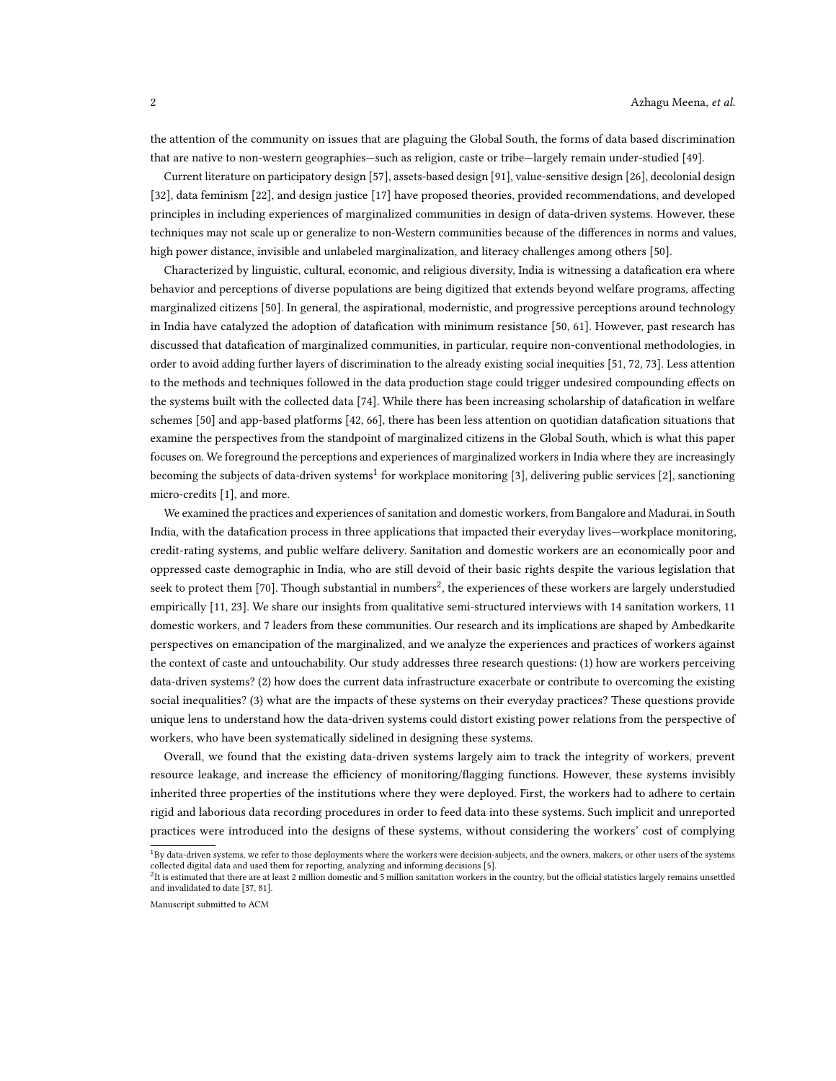the attention of the community on issues that are plaguing the Global South, the forms of data based discrimination that are native to non-western geographies—such as religion, caste or tribe—largely remain under-studied [\[49\]](#page-16-1).

Current literature on participatory design [\[57\]](#page-16-2), assets-based design [\[91\]](#page-17-3), value-sensitive design [\[26\]](#page-15-6), decolonial design [\[32\]](#page-15-7), data feminism [\[22\]](#page-15-8), and design justice [\[17\]](#page-15-9) have proposed theories, provided recommendations, and developed principles in including experiences of marginalized communities in design of data-driven systems. However, these techniques may not scale up or generalize to non-Western communities because of the differences in norms and values, high power distance, invisible and unlabeled marginalization, and literacy challenges among others [\[50\]](#page-16-3).

Characterized by linguistic, cultural, economic, and religious diversity, India is witnessing a datafication era where behavior and perceptions of diverse populations are being digitized that extends beyond welfare programs, affecting marginalized citizens [\[50\]](#page-16-3). In general, the aspirational, modernistic, and progressive perceptions around technology in India have catalyzed the adoption of datafication with minimum resistance [\[50,](#page-16-3) [61\]](#page-16-4). However, past research has discussed that datafication of marginalized communities, in particular, require non-conventional methodologies, in order to avoid adding further layers of discrimination to the already existing social inequities [\[51,](#page-16-5) [72,](#page-16-6) [73\]](#page-16-7). Less attention to the methods and techniques followed in the data production stage could trigger undesired compounding effects on the systems built with the collected data [\[74\]](#page-16-8). While there has been increasing scholarship of datafication in welfare schemes [\[50\]](#page-16-3) and app-based platforms [\[42,](#page-15-10) [66\]](#page-16-9), there has been less attention on quotidian datafication situations that examine the perspectives from the standpoint of marginalized citizens in the Global South, which is what this paper focuses on. We foreground the perceptions and experiences of marginalized workers in India where they are increasingly becoming the subjects of data-driven systems $^1$  $^1$  for workplace monitoring [\[3\]](#page-14-0), delivering public services [\[2\]](#page-14-1), sanctioning micro-credits [\[1\]](#page-14-2), and more.

We examined the practices and experiences of sanitation and domestic workers, from Bangalore and Madurai, in South India, with the datafication process in three applications that impacted their everyday lives—workplace monitoring, credit-rating systems, and public welfare delivery. Sanitation and domestic workers are an economically poor and oppressed caste demographic in India, who are still devoid of their basic rights despite the various legislation that seek to protect them [\[70\]](#page-16-10). Though substantial in numbers $^2$  $^2$ , the experiences of these workers are largely understudied empirically [\[11,](#page-14-3) [23\]](#page-15-11). We share our insights from qualitative semi-structured interviews with 14 sanitation workers, 11 domestic workers, and 7 leaders from these communities. Our research and its implications are shaped by Ambedkarite perspectives on emancipation of the marginalized, and we analyze the experiences and practices of workers against the context of caste and untouchability. Our study addresses three research questions: (1) how are workers perceiving data-driven systems? (2) how does the current data infrastructure exacerbate or contribute to overcoming the existing social inequalities? (3) what are the impacts of these systems on their everyday practices? These questions provide unique lens to understand how the data-driven systems could distort existing power relations from the perspective of workers, who have been systematically sidelined in designing these systems.

Overall, we found that the existing data-driven systems largely aim to track the integrity of workers, prevent resource leakage, and increase the efficiency of monitoring/flagging functions. However, these systems invisibly inherited three properties of the institutions where they were deployed. First, the workers had to adhere to certain rigid and laborious data recording procedures in order to feed data into these systems. Such implicit and unreported practices were introduced into the designs of these systems, without considering the workers' cost of complying

<span id="page-1-0"></span><sup>&</sup>lt;sup>1</sup>By data-driven systems, we refer to those deployments where the workers were decision-subjects, and the owners, makers, or other users of the systems collected digital data and used them for reporting, analyzing and informing decisions [\[5\]](#page-14-4).

<span id="page-1-1"></span> $^2$ It is estimated that there are at least 2 million domestic and 5 million sanitation workers in the country, but the official statistics largely remains unsettled and invalidated to date [\[37,](#page-15-12) [81\]](#page-17-4).

Manuscript submitted to ACM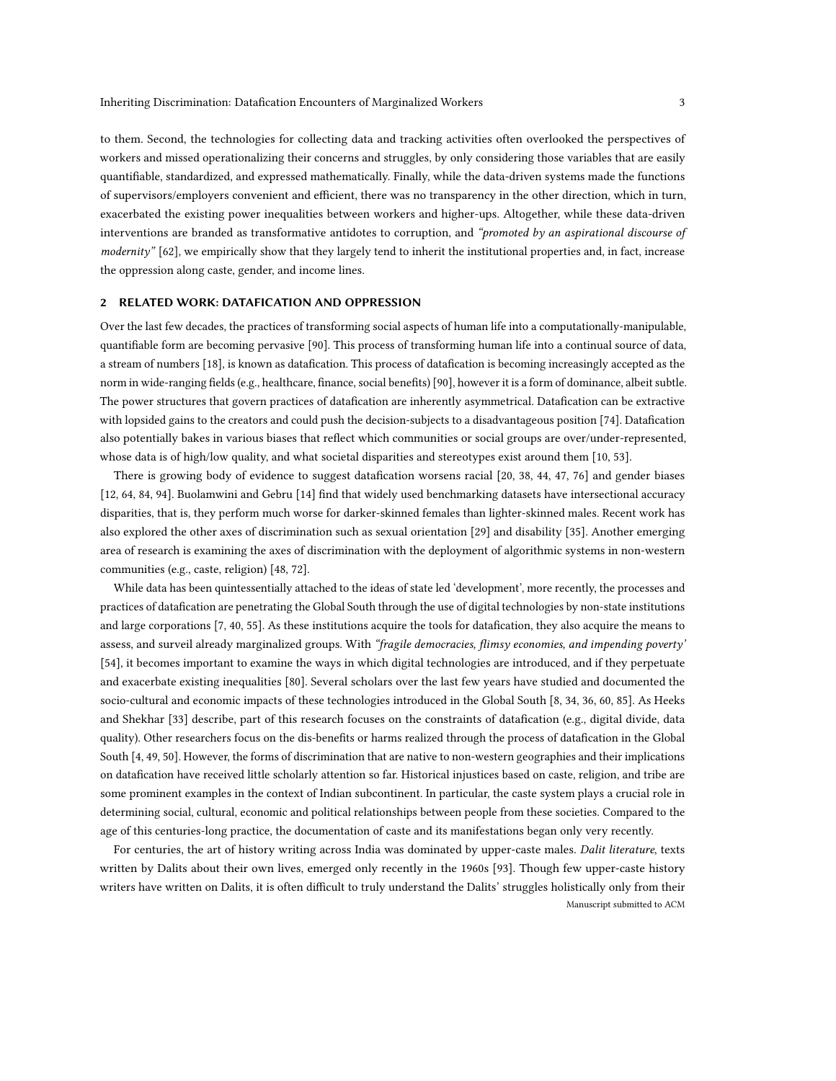to them. Second, the technologies for collecting data and tracking activities often overlooked the perspectives of workers and missed operationalizing their concerns and struggles, by only considering those variables that are easily quantifiable, standardized, and expressed mathematically. Finally, while the data-driven systems made the functions of supervisors/employers convenient and efficient, there was no transparency in the other direction, which in turn, exacerbated the existing power inequalities between workers and higher-ups. Altogether, while these data-driven interventions are branded as transformative antidotes to corruption, and "promoted by an aspirational discourse of modernity" [\[62\]](#page-16-11), we empirically show that they largely tend to inherit the institutional properties and, in fact, increase the oppression along caste, gender, and income lines.

### 2 RELATED WORK: DATAFICATION AND OPPRESSION

Over the last few decades, the practices of transforming social aspects of human life into a computationally-manipulable, quantifiable form are becoming pervasive [\[90\]](#page-17-2). This process of transforming human life into a continual source of data, a stream of numbers [\[18\]](#page-15-13), is known as datafication. This process of datafication is becoming increasingly accepted as the norm in wide-ranging fields (e.g., healthcare, finance, social benefits) [\[90\]](#page-17-2), however it is a form of dominance, albeit subtle. The power structures that govern practices of datafication are inherently asymmetrical. Datafication can be extractive with lopsided gains to the creators and could push the decision-subjects to a disadvantageous position [\[74\]](#page-16-8). Datafication also potentially bakes in various biases that reflect which communities or social groups are over/under-represented, whose data is of high/low quality, and what societal disparities and stereotypes exist around them [\[10,](#page-14-5) [53\]](#page-16-12).

There is growing body of evidence to suggest datafication worsens racial [\[20,](#page-15-4) [38,](#page-15-14) [44,](#page-16-13) [47,](#page-16-14) [76\]](#page-16-15) and gender biases [\[12,](#page-15-15) [64,](#page-16-16) [84,](#page-17-5) [94\]](#page-17-6). Buolamwini and Gebru [\[14\]](#page-15-3) find that widely used benchmarking datasets have intersectional accuracy disparities, that is, they perform much worse for darker-skinned females than lighter-skinned males. Recent work has also explored the other axes of discrimination such as sexual orientation [\[29\]](#page-15-16) and disability [\[35\]](#page-15-5). Another emerging area of research is examining the axes of discrimination with the deployment of algorithmic systems in non-western communities (e.g., caste, religion) [\[48,](#page-16-0) [72\]](#page-16-6).

While data has been quintessentially attached to the ideas of state led 'development', more recently, the processes and practices of datafication are penetrating the Global South through the use of digital technologies by non-state institutions and large corporations [\[7,](#page-14-6) [40,](#page-15-17) [55\]](#page-16-17). As these institutions acquire the tools for datafication, they also acquire the means to assess, and surveil already marginalized groups. With "fragile democracies, flimsy economies, and impending poverty' [\[54\]](#page-16-18), it becomes important to examine the ways in which digital technologies are introduced, and if they perpetuate and exacerbate existing inequalities [\[80\]](#page-17-7). Several scholars over the last few years have studied and documented the socio-cultural and economic impacts of these technologies introduced in the Global South [\[8,](#page-14-7) [34,](#page-15-18) [36,](#page-15-19) [60,](#page-16-19) [85\]](#page-17-8). As Heeks and Shekhar [\[33\]](#page-15-2) describe, part of this research focuses on the constraints of datafication (e.g., digital divide, data quality). Other researchers focus on the dis-benefits or harms realized through the process of datafication in the Global South [\[4,](#page-14-8) [49,](#page-16-1) [50\]](#page-16-3). However, the forms of discrimination that are native to non-western geographies and their implications on datafication have received little scholarly attention so far. Historical injustices based on caste, religion, and tribe are some prominent examples in the context of Indian subcontinent. In particular, the caste system plays a crucial role in determining social, cultural, economic and political relationships between people from these societies. Compared to the age of this centuries-long practice, the documentation of caste and its manifestations began only very recently.

For centuries, the art of history writing across India was dominated by upper-caste males. Dalit literature, texts written by Dalits about their own lives, emerged only recently in the 1960s [\[93\]](#page-17-9). Though few upper-caste history writers have written on Dalits, it is often difficult to truly understand the Dalits' struggles holistically only from their Manuscript submitted to ACM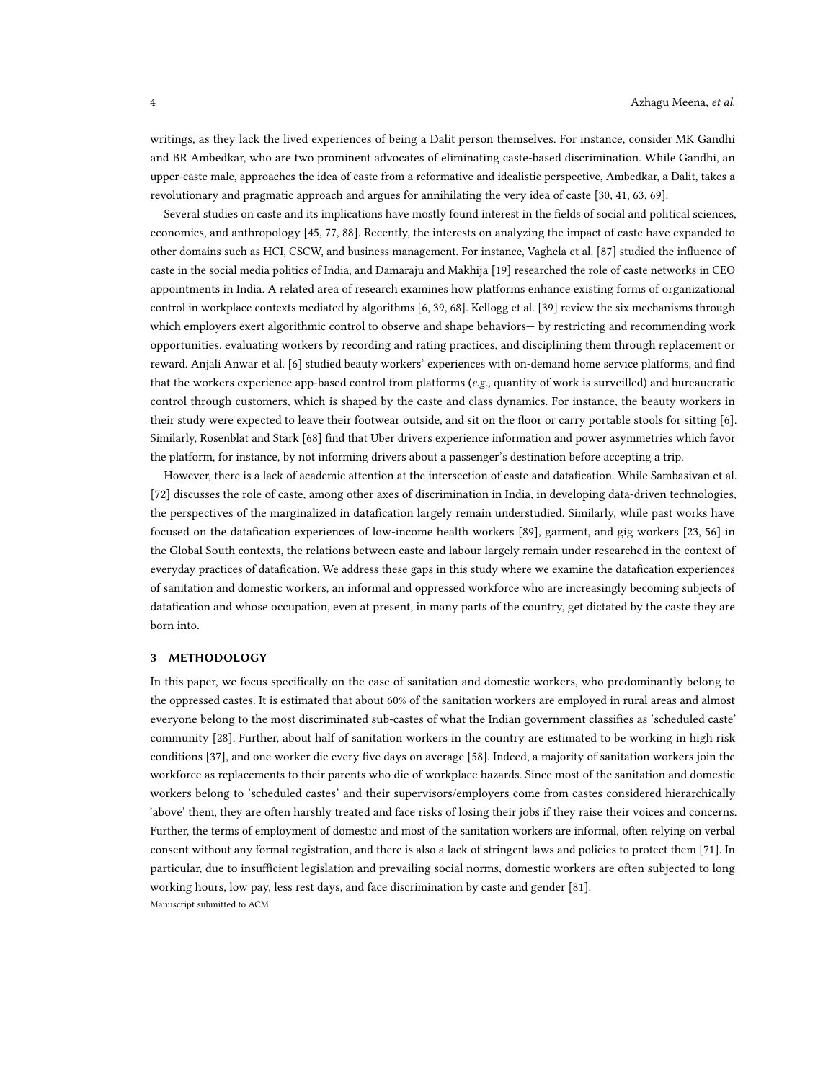writings, as they lack the lived experiences of being a Dalit person themselves. For instance, consider MK Gandhi and BR Ambedkar, who are two prominent advocates of eliminating caste-based discrimination. While Gandhi, an upper-caste male, approaches the idea of caste from a reformative and idealistic perspective, Ambedkar, a Dalit, takes a revolutionary and pragmatic approach and argues for annihilating the very idea of caste [\[30,](#page-15-20) [41,](#page-15-21) [63,](#page-16-20) [69\]](#page-16-21).

Several studies on caste and its implications have mostly found interest in the fields of social and political sciences, economics, and anthropology [\[45,](#page-16-22) [77,](#page-17-10) [88\]](#page-17-11). Recently, the interests on analyzing the impact of caste have expanded to other domains such as HCI, CSCW, and business management. For instance, Vaghela et al. [\[87\]](#page-17-12) studied the influence of caste in the social media politics of India, and Damaraju and Makhija [\[19\]](#page-15-22) researched the role of caste networks in CEO appointments in India. A related area of research examines how platforms enhance existing forms of organizational control in workplace contexts mediated by algorithms [\[6,](#page-14-9) [39,](#page-15-23) [68\]](#page-16-23). Kellogg et al. [\[39\]](#page-15-23) review the six mechanisms through which employers exert algorithmic control to observe and shape behaviors— by restricting and recommending work opportunities, evaluating workers by recording and rating practices, and disciplining them through replacement or reward. Anjali Anwar et al. [\[6\]](#page-14-9) studied beauty workers' experiences with on-demand home service platforms, and find that the workers experience app-based control from platforms (e.g., quantity of work is surveilled) and bureaucratic control through customers, which is shaped by the caste and class dynamics. For instance, the beauty workers in their study were expected to leave their footwear outside, and sit on the floor or carry portable stools for sitting [\[6\]](#page-14-9). Similarly, Rosenblat and Stark [\[68\]](#page-16-23) find that Uber drivers experience information and power asymmetries which favor the platform, for instance, by not informing drivers about a passenger's destination before accepting a trip.

However, there is a lack of academic attention at the intersection of caste and datafication. While Sambasivan et al. [\[72\]](#page-16-6) discusses the role of caste, among other axes of discrimination in India, in developing data-driven technologies, the perspectives of the marginalized in datafication largely remain understudied. Similarly, while past works have focused on the datafication experiences of low-income health workers [\[89\]](#page-17-13), garment, and gig workers [\[23,](#page-15-11) [56\]](#page-16-24) in the Global South contexts, the relations between caste and labour largely remain under researched in the context of everyday practices of datafication. We address these gaps in this study where we examine the datafication experiences of sanitation and domestic workers, an informal and oppressed workforce who are increasingly becoming subjects of datafication and whose occupation, even at present, in many parts of the country, get dictated by the caste they are born into.

### 3 METHODOLOGY

In this paper, we focus specifically on the case of sanitation and domestic workers, who predominantly belong to the oppressed castes. It is estimated that about 60% of the sanitation workers are employed in rural areas and almost everyone belong to the most discriminated sub-castes of what the Indian government classifies as 'scheduled caste' community [\[28\]](#page-15-24). Further, about half of sanitation workers in the country are estimated to be working in high risk conditions [\[37\]](#page-15-12), and one worker die every five days on average [\[58\]](#page-16-25). Indeed, a majority of sanitation workers join the workforce as replacements to their parents who die of workplace hazards. Since most of the sanitation and domestic workers belong to 'scheduled castes' and their supervisors/employers come from castes considered hierarchically 'above' them, they are often harshly treated and face risks of losing their jobs if they raise their voices and concerns. Further, the terms of employment of domestic and most of the sanitation workers are informal, often relying on verbal consent without any formal registration, and there is also a lack of stringent laws and policies to protect them [\[71\]](#page-16-26). In particular, due to insufficient legislation and prevailing social norms, domestic workers are often subjected to long working hours, low pay, less rest days, and face discrimination by caste and gender [\[81\]](#page-17-4). Manuscript submitted to ACM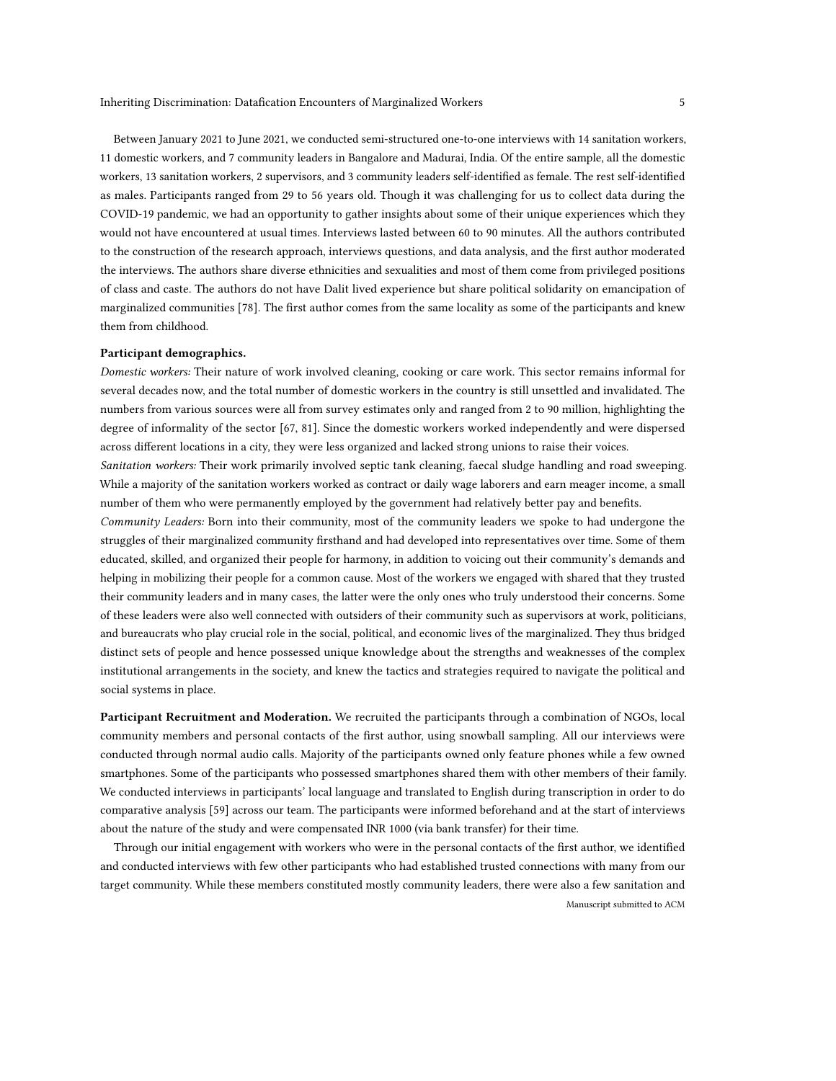Between January 2021 to June 2021, we conducted semi-structured one-to-one interviews with 14 sanitation workers, 11 domestic workers, and 7 community leaders in Bangalore and Madurai, India. Of the entire sample, all the domestic workers, 13 sanitation workers, 2 supervisors, and 3 community leaders self-identified as female. The rest self-identified as males. Participants ranged from 29 to 56 years old. Though it was challenging for us to collect data during the COVID-19 pandemic, we had an opportunity to gather insights about some of their unique experiences which they would not have encountered at usual times. Interviews lasted between 60 to 90 minutes. All the authors contributed to the construction of the research approach, interviews questions, and data analysis, and the first author moderated the interviews. The authors share diverse ethnicities and sexualities and most of them come from privileged positions of class and caste. The authors do not have Dalit lived experience but share political solidarity on emancipation of marginalized communities [\[78\]](#page-17-14). The first author comes from the same locality as some of the participants and knew them from childhood.

### Participant demographics.

Domestic workers: Their nature of work involved cleaning, cooking or care work. This sector remains informal for several decades now, and the total number of domestic workers in the country is still unsettled and invalidated. The numbers from various sources were all from survey estimates only and ranged from 2 to 90 million, highlighting the degree of informality of the sector [\[67,](#page-16-27) [81\]](#page-17-4). Since the domestic workers worked independently and were dispersed across different locations in a city, they were less organized and lacked strong unions to raise their voices.

Sanitation workers: Their work primarily involved septic tank cleaning, faecal sludge handling and road sweeping. While a majority of the sanitation workers worked as contract or daily wage laborers and earn meager income, a small number of them who were permanently employed by the government had relatively better pay and benefits.

Community Leaders: Born into their community, most of the community leaders we spoke to had undergone the struggles of their marginalized community firsthand and had developed into representatives over time. Some of them educated, skilled, and organized their people for harmony, in addition to voicing out their community's demands and helping in mobilizing their people for a common cause. Most of the workers we engaged with shared that they trusted their community leaders and in many cases, the latter were the only ones who truly understood their concerns. Some of these leaders were also well connected with outsiders of their community such as supervisors at work, politicians, and bureaucrats who play crucial role in the social, political, and economic lives of the marginalized. They thus bridged distinct sets of people and hence possessed unique knowledge about the strengths and weaknesses of the complex institutional arrangements in the society, and knew the tactics and strategies required to navigate the political and social systems in place.

Participant Recruitment and Moderation. We recruited the participants through a combination of NGOs, local community members and personal contacts of the first author, using snowball sampling. All our interviews were conducted through normal audio calls. Majority of the participants owned only feature phones while a few owned smartphones. Some of the participants who possessed smartphones shared them with other members of their family. We conducted interviews in participants' local language and translated to English during transcription in order to do comparative analysis [\[59\]](#page-16-28) across our team. The participants were informed beforehand and at the start of interviews about the nature of the study and were compensated INR 1000 (via bank transfer) for their time.

Through our initial engagement with workers who were in the personal contacts of the first author, we identified and conducted interviews with few other participants who had established trusted connections with many from our target community. While these members constituted mostly community leaders, there were also a few sanitation and Manuscript submitted to ACM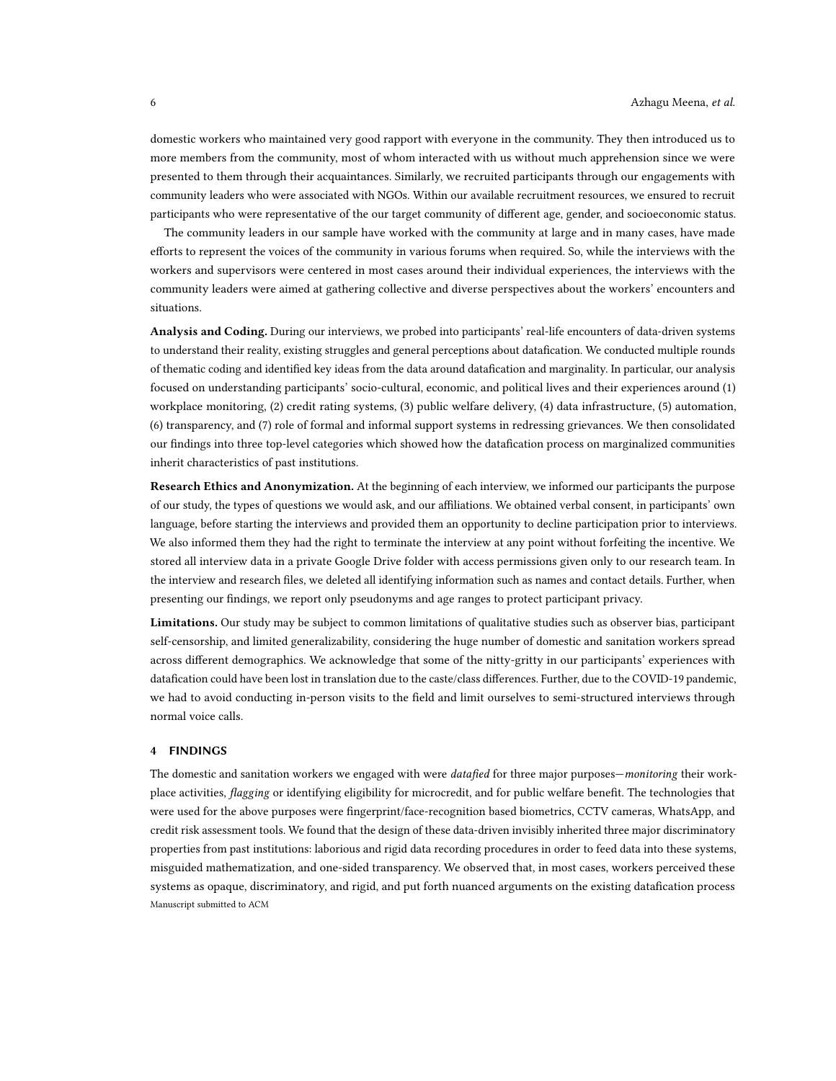domestic workers who maintained very good rapport with everyone in the community. They then introduced us to more members from the community, most of whom interacted with us without much apprehension since we were presented to them through their acquaintances. Similarly, we recruited participants through our engagements with community leaders who were associated with NGOs. Within our available recruitment resources, we ensured to recruit participants who were representative of the our target community of different age, gender, and socioeconomic status.

The community leaders in our sample have worked with the community at large and in many cases, have made efforts to represent the voices of the community in various forums when required. So, while the interviews with the workers and supervisors were centered in most cases around their individual experiences, the interviews with the community leaders were aimed at gathering collective and diverse perspectives about the workers' encounters and situations.

Analysis and Coding. During our interviews, we probed into participants' real-life encounters of data-driven systems to understand their reality, existing struggles and general perceptions about datafication. We conducted multiple rounds of thematic coding and identified key ideas from the data around datafication and marginality. In particular, our analysis focused on understanding participants' socio-cultural, economic, and political lives and their experiences around (1) workplace monitoring, (2) credit rating systems, (3) public welfare delivery, (4) data infrastructure, (5) automation, (6) transparency, and (7) role of formal and informal support systems in redressing grievances. We then consolidated our findings into three top-level categories which showed how the datafication process on marginalized communities inherit characteristics of past institutions.

Research Ethics and Anonymization. At the beginning of each interview, we informed our participants the purpose of our study, the types of questions we would ask, and our affiliations. We obtained verbal consent, in participants' own language, before starting the interviews and provided them an opportunity to decline participation prior to interviews. We also informed them they had the right to terminate the interview at any point without forfeiting the incentive. We stored all interview data in a private Google Drive folder with access permissions given only to our research team. In the interview and research files, we deleted all identifying information such as names and contact details. Further, when presenting our findings, we report only pseudonyms and age ranges to protect participant privacy.

Limitations. Our study may be subject to common limitations of qualitative studies such as observer bias, participant self-censorship, and limited generalizability, considering the huge number of domestic and sanitation workers spread across different demographics. We acknowledge that some of the nitty-gritty in our participants' experiences with datafication could have been lost in translation due to the caste/class differences. Further, due to the COVID-19 pandemic, we had to avoid conducting in-person visits to the field and limit ourselves to semi-structured interviews through normal voice calls.

### 4 FINDINGS

The domestic and sanitation workers we engaged with were *datafied* for three major purposes—monitoring their workplace activities, *flagging* or identifying eligibility for microcredit, and for public welfare benefit. The technologies that were used for the above purposes were fingerprint/face-recognition based biometrics, CCTV cameras, WhatsApp, and credit risk assessment tools. We found that the design of these data-driven invisibly inherited three major discriminatory properties from past institutions: laborious and rigid data recording procedures in order to feed data into these systems, misguided mathematization, and one-sided transparency. We observed that, in most cases, workers perceived these systems as opaque, discriminatory, and rigid, and put forth nuanced arguments on the existing datafication process Manuscript submitted to ACM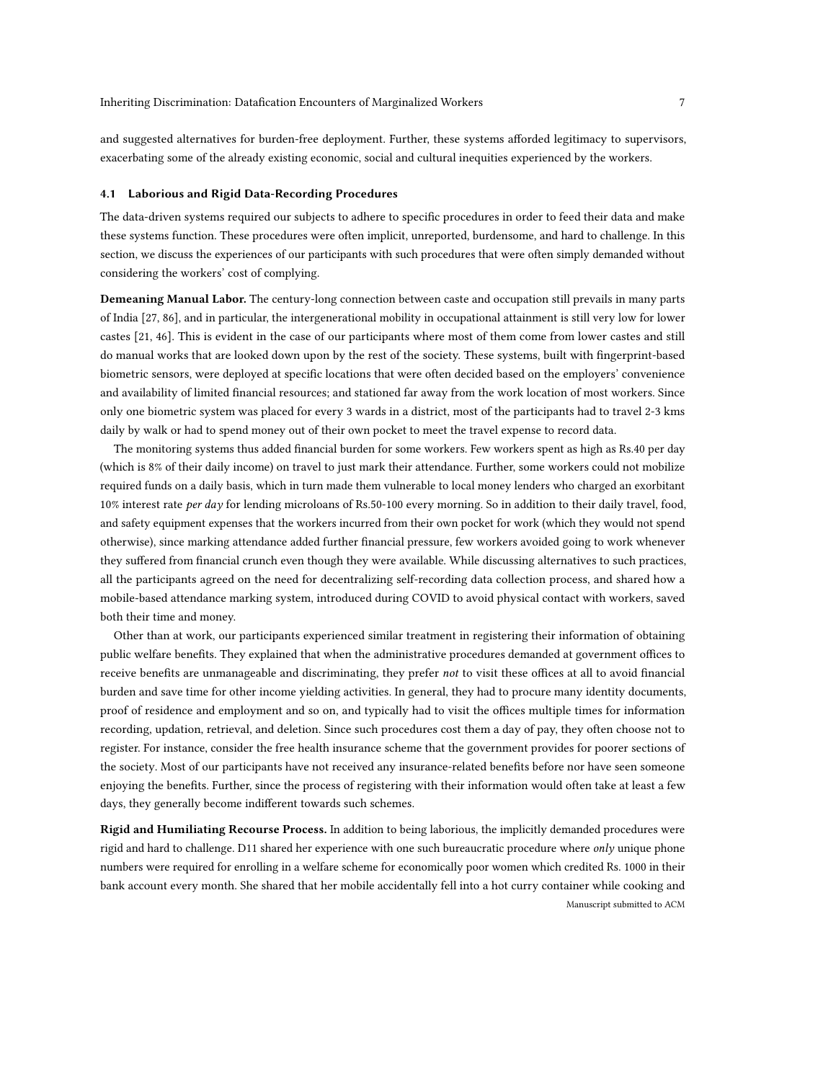and suggested alternatives for burden-free deployment. Further, these systems afforded legitimacy to supervisors, exacerbating some of the already existing economic, social and cultural inequities experienced by the workers.

#### 4.1 Laborious and Rigid Data-Recording Procedures

The data-driven systems required our subjects to adhere to specific procedures in order to feed their data and make these systems function. These procedures were often implicit, unreported, burdensome, and hard to challenge. In this section, we discuss the experiences of our participants with such procedures that were often simply demanded without considering the workers' cost of complying.

Demeaning Manual Labor. The century-long connection between caste and occupation still prevails in many parts of India [\[27,](#page-15-25) [86\]](#page-17-15), and in particular, the intergenerational mobility in occupational attainment is still very low for lower castes [\[21,](#page-15-26) [46\]](#page-16-29). This is evident in the case of our participants where most of them come from lower castes and still do manual works that are looked down upon by the rest of the society. These systems, built with fingerprint-based biometric sensors, were deployed at specific locations that were often decided based on the employers' convenience and availability of limited financial resources; and stationed far away from the work location of most workers. Since only one biometric system was placed for every 3 wards in a district, most of the participants had to travel 2-3 kms daily by walk or had to spend money out of their own pocket to meet the travel expense to record data.

The monitoring systems thus added financial burden for some workers. Few workers spent as high as Rs.40 per day (which is 8% of their daily income) on travel to just mark their attendance. Further, some workers could not mobilize required funds on a daily basis, which in turn made them vulnerable to local money lenders who charged an exorbitant 10% interest rate per day for lending microloans of Rs.50-100 every morning. So in addition to their daily travel, food, and safety equipment expenses that the workers incurred from their own pocket for work (which they would not spend otherwise), since marking attendance added further financial pressure, few workers avoided going to work whenever they suffered from financial crunch even though they were available. While discussing alternatives to such practices, all the participants agreed on the need for decentralizing self-recording data collection process, and shared how a mobile-based attendance marking system, introduced during COVID to avoid physical contact with workers, saved both their time and money.

Other than at work, our participants experienced similar treatment in registering their information of obtaining public welfare benefits. They explained that when the administrative procedures demanded at government offices to receive benefits are unmanageable and discriminating, they prefer not to visit these offices at all to avoid financial burden and save time for other income yielding activities. In general, they had to procure many identity documents, proof of residence and employment and so on, and typically had to visit the offices multiple times for information recording, updation, retrieval, and deletion. Since such procedures cost them a day of pay, they often choose not to register. For instance, consider the free health insurance scheme that the government provides for poorer sections of the society. Most of our participants have not received any insurance-related benefits before nor have seen someone enjoying the benefits. Further, since the process of registering with their information would often take at least a few days, they generally become indifferent towards such schemes.

Rigid and Humiliating Recourse Process. In addition to being laborious, the implicitly demanded procedures were rigid and hard to challenge. D11 shared her experience with one such bureaucratic procedure where only unique phone numbers were required for enrolling in a welfare scheme for economically poor women which credited Rs. 1000 in their bank account every month. She shared that her mobile accidentally fell into a hot curry container while cooking and Manuscript submitted to ACM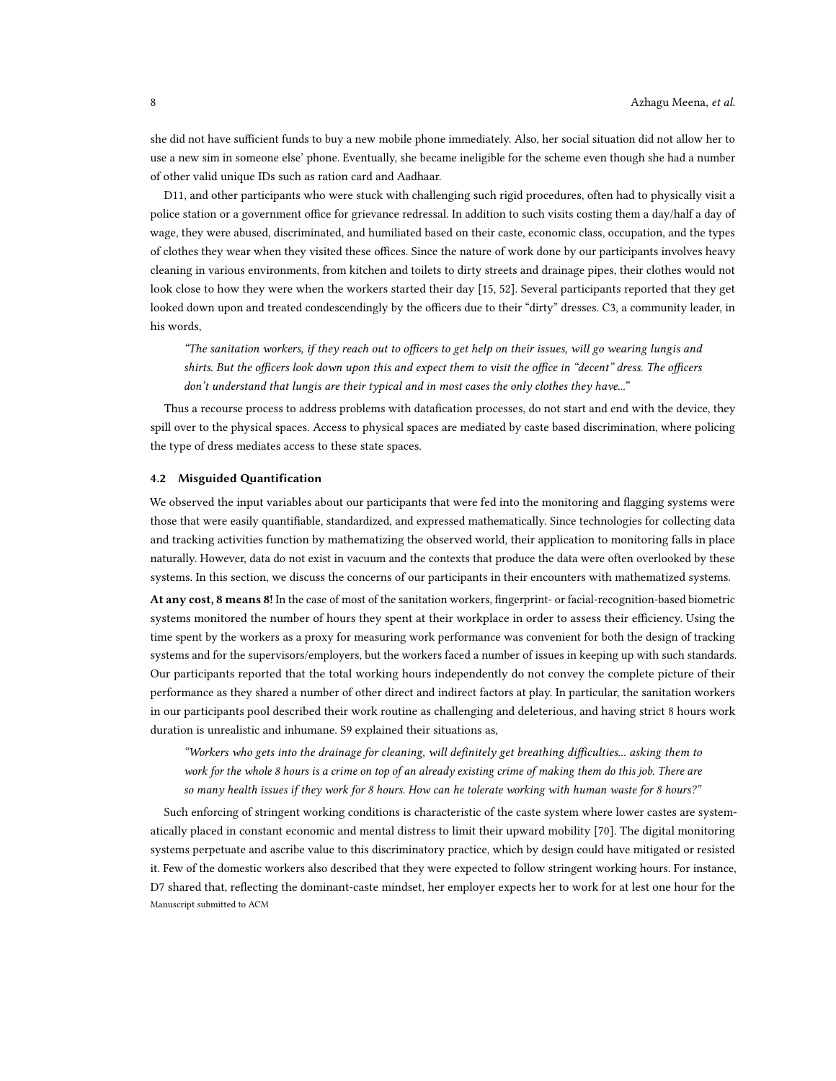she did not have sufficient funds to buy a new mobile phone immediately. Also, her social situation did not allow her to use a new sim in someone else' phone. Eventually, she became ineligible for the scheme even though she had a number of other valid unique IDs such as ration card and Aadhaar.

D11, and other participants who were stuck with challenging such rigid procedures, often had to physically visit a police station or a government office for grievance redressal. In addition to such visits costing them a day/half a day of wage, they were abused, discriminated, and humiliated based on their caste, economic class, occupation, and the types of clothes they wear when they visited these offices. Since the nature of work done by our participants involves heavy cleaning in various environments, from kitchen and toilets to dirty streets and drainage pipes, their clothes would not look close to how they were when the workers started their day [\[15,](#page-15-27) [52\]](#page-16-30). Several participants reported that they get looked down upon and treated condescendingly by the officers due to their "dirty" dresses. C3, a community leader, in his words,

"The sanitation workers, if they reach out to officers to get help on their issues, will go wearing lungis and shirts. But the officers look down upon this and expect them to visit the office in "decent" dress. The officers don't understand that lungis are their typical and in most cases the only clothes they have..."

Thus a recourse process to address problems with datafication processes, do not start and end with the device, they spill over to the physical spaces. Access to physical spaces are mediated by caste based discrimination, where policing the type of dress mediates access to these state spaces.

### 4.2 Misguided Quantification

We observed the input variables about our participants that were fed into the monitoring and flagging systems were those that were easily quantifiable, standardized, and expressed mathematically. Since technologies for collecting data and tracking activities function by mathematizing the observed world, their application to monitoring falls in place naturally. However, data do not exist in vacuum and the contexts that produce the data were often overlooked by these systems. In this section, we discuss the concerns of our participants in their encounters with mathematized systems.

At any cost, 8 means 8! In the case of most of the sanitation workers, fingerprint- or facial-recognition-based biometric systems monitored the number of hours they spent at their workplace in order to assess their efficiency. Using the time spent by the workers as a proxy for measuring work performance was convenient for both the design of tracking systems and for the supervisors/employers, but the workers faced a number of issues in keeping up with such standards. Our participants reported that the total working hours independently do not convey the complete picture of their performance as they shared a number of other direct and indirect factors at play. In particular, the sanitation workers in our participants pool described their work routine as challenging and deleterious, and having strict 8 hours work duration is unrealistic and inhumane. S9 explained their situations as,

"Workers who gets into the drainage for cleaning, will definitely get breathing difficulties... asking them to work for the whole 8 hours is a crime on top of an already existing crime of making them do this job. There are so many health issues if they work for 8 hours. How can he tolerate working with human waste for 8 hours?"

Such enforcing of stringent working conditions is characteristic of the caste system where lower castes are systematically placed in constant economic and mental distress to limit their upward mobility [\[70\]](#page-16-10). The digital monitoring systems perpetuate and ascribe value to this discriminatory practice, which by design could have mitigated or resisted it. Few of the domestic workers also described that they were expected to follow stringent working hours. For instance, D7 shared that, reflecting the dominant-caste mindset, her employer expects her to work for at lest one hour for the Manuscript submitted to ACM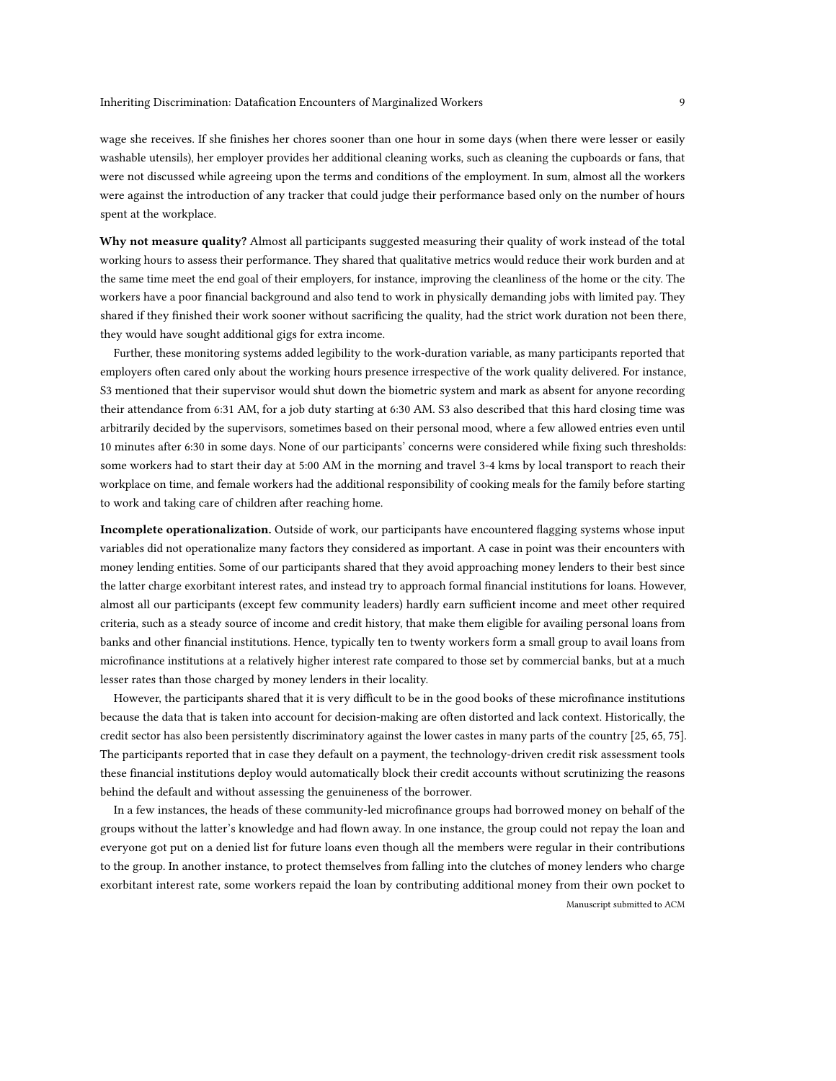wage she receives. If she finishes her chores sooner than one hour in some days (when there were lesser or easily washable utensils), her employer provides her additional cleaning works, such as cleaning the cupboards or fans, that were not discussed while agreeing upon the terms and conditions of the employment. In sum, almost all the workers were against the introduction of any tracker that could judge their performance based only on the number of hours spent at the workplace.

Why not measure quality? Almost all participants suggested measuring their quality of work instead of the total working hours to assess their performance. They shared that qualitative metrics would reduce their work burden and at the same time meet the end goal of their employers, for instance, improving the cleanliness of the home or the city. The workers have a poor financial background and also tend to work in physically demanding jobs with limited pay. They shared if they finished their work sooner without sacrificing the quality, had the strict work duration not been there, they would have sought additional gigs for extra income.

Further, these monitoring systems added legibility to the work-duration variable, as many participants reported that employers often cared only about the working hours presence irrespective of the work quality delivered. For instance, S3 mentioned that their supervisor would shut down the biometric system and mark as absent for anyone recording their attendance from 6:31 AM, for a job duty starting at 6:30 AM. S3 also described that this hard closing time was arbitrarily decided by the supervisors, sometimes based on their personal mood, where a few allowed entries even until 10 minutes after 6:30 in some days. None of our participants' concerns were considered while fixing such thresholds: some workers had to start their day at 5:00 AM in the morning and travel 3-4 kms by local transport to reach their workplace on time, and female workers had the additional responsibility of cooking meals for the family before starting to work and taking care of children after reaching home.

Incomplete operationalization. Outside of work, our participants have encountered flagging systems whose input variables did not operationalize many factors they considered as important. A case in point was their encounters with money lending entities. Some of our participants shared that they avoid approaching money lenders to their best since the latter charge exorbitant interest rates, and instead try to approach formal financial institutions for loans. However, almost all our participants (except few community leaders) hardly earn sufficient income and meet other required criteria, such as a steady source of income and credit history, that make them eligible for availing personal loans from banks and other financial institutions. Hence, typically ten to twenty workers form a small group to avail loans from microfinance institutions at a relatively higher interest rate compared to those set by commercial banks, but at a much lesser rates than those charged by money lenders in their locality.

However, the participants shared that it is very difficult to be in the good books of these microfinance institutions because the data that is taken into account for decision-making are often distorted and lack context. Historically, the credit sector has also been persistently discriminatory against the lower castes in many parts of the country [\[25,](#page-15-28) [65,](#page-16-31) [75\]](#page-16-32). The participants reported that in case they default on a payment, the technology-driven credit risk assessment tools these financial institutions deploy would automatically block their credit accounts without scrutinizing the reasons behind the default and without assessing the genuineness of the borrower.

In a few instances, the heads of these community-led microfinance groups had borrowed money on behalf of the groups without the latter's knowledge and had flown away. In one instance, the group could not repay the loan and everyone got put on a denied list for future loans even though all the members were regular in their contributions to the group. In another instance, to protect themselves from falling into the clutches of money lenders who charge exorbitant interest rate, some workers repaid the loan by contributing additional money from their own pocket to Manuscript submitted to ACM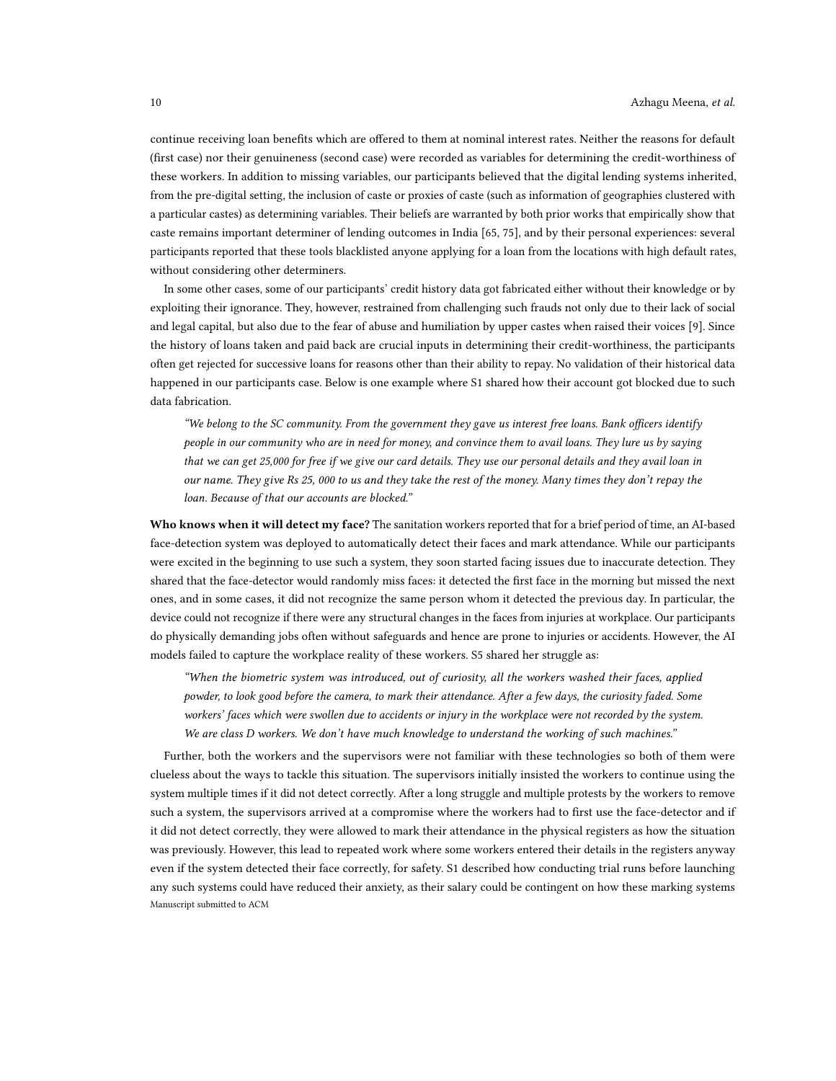continue receiving loan benefits which are offered to them at nominal interest rates. Neither the reasons for default (first case) nor their genuineness (second case) were recorded as variables for determining the credit-worthiness of these workers. In addition to missing variables, our participants believed that the digital lending systems inherited, from the pre-digital setting, the inclusion of caste or proxies of caste (such as information of geographies clustered with a particular castes) as determining variables. Their beliefs are warranted by both prior works that empirically show that caste remains important determiner of lending outcomes in India [\[65,](#page-16-31) [75\]](#page-16-32), and by their personal experiences: several participants reported that these tools blacklisted anyone applying for a loan from the locations with high default rates, without considering other determiners.

In some other cases, some of our participants' credit history data got fabricated either without their knowledge or by exploiting their ignorance. They, however, restrained from challenging such frauds not only due to their lack of social and legal capital, but also due to the fear of abuse and humiliation by upper castes when raised their voices [\[9\]](#page-14-10). Since the history of loans taken and paid back are crucial inputs in determining their credit-worthiness, the participants often get rejected for successive loans for reasons other than their ability to repay. No validation of their historical data happened in our participants case. Below is one example where S1 shared how their account got blocked due to such data fabrication.

"We belong to the SC community. From the government they gave us interest free loans. Bank officers identify people in our community who are in need for money, and convince them to avail loans. They lure us by saying that we can get 25,000 for free if we give our card details. They use our personal details and they avail loan in our name. They give Rs 25, 000 to us and they take the rest of the money. Many times they don't repay the loan. Because of that our accounts are blocked."

Who knows when it will detect my face? The sanitation workers reported that for a brief period of time, an AI-based face-detection system was deployed to automatically detect their faces and mark attendance. While our participants were excited in the beginning to use such a system, they soon started facing issues due to inaccurate detection. They shared that the face-detector would randomly miss faces: it detected the first face in the morning but missed the next ones, and in some cases, it did not recognize the same person whom it detected the previous day. In particular, the device could not recognize if there were any structural changes in the faces from injuries at workplace. Our participants do physically demanding jobs often without safeguards and hence are prone to injuries or accidents. However, the AI models failed to capture the workplace reality of these workers. S5 shared her struggle as:

"When the biometric system was introduced, out of curiosity, all the workers washed their faces, applied powder, to look good before the camera, to mark their attendance. After a few days, the curiosity faded. Some workers' faces which were swollen due to accidents or injury in the workplace were not recorded by the system. We are class D workers. We don't have much knowledge to understand the working of such machines."

Further, both the workers and the supervisors were not familiar with these technologies so both of them were clueless about the ways to tackle this situation. The supervisors initially insisted the workers to continue using the system multiple times if it did not detect correctly. After a long struggle and multiple protests by the workers to remove such a system, the supervisors arrived at a compromise where the workers had to first use the face-detector and if it did not detect correctly, they were allowed to mark their attendance in the physical registers as how the situation was previously. However, this lead to repeated work where some workers entered their details in the registers anyway even if the system detected their face correctly, for safety. S1 described how conducting trial runs before launching any such systems could have reduced their anxiety, as their salary could be contingent on how these marking systems Manuscript submitted to ACM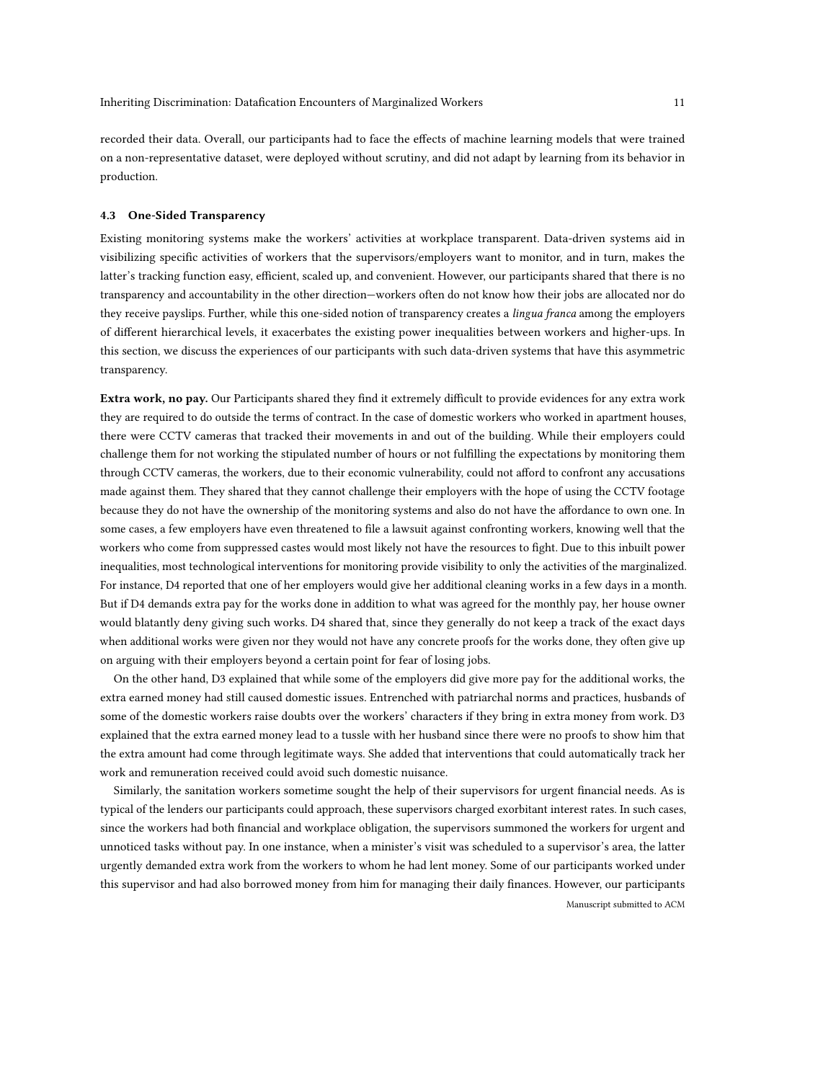recorded their data. Overall, our participants had to face the effects of machine learning models that were trained on a non-representative dataset, were deployed without scrutiny, and did not adapt by learning from its behavior in production.

### 4.3 One-Sided Transparency

Existing monitoring systems make the workers' activities at workplace transparent. Data-driven systems aid in visibilizing specific activities of workers that the supervisors/employers want to monitor, and in turn, makes the latter's tracking function easy, efficient, scaled up, and convenient. However, our participants shared that there is no transparency and accountability in the other direction—workers often do not know how their jobs are allocated nor do they receive payslips. Further, while this one-sided notion of transparency creates a lingua franca among the employers of different hierarchical levels, it exacerbates the existing power inequalities between workers and higher-ups. In this section, we discuss the experiences of our participants with such data-driven systems that have this asymmetric transparency.

Extra work, no pay. Our Participants shared they find it extremely difficult to provide evidences for any extra work they are required to do outside the terms of contract. In the case of domestic workers who worked in apartment houses, there were CCTV cameras that tracked their movements in and out of the building. While their employers could challenge them for not working the stipulated number of hours or not fulfilling the expectations by monitoring them through CCTV cameras, the workers, due to their economic vulnerability, could not afford to confront any accusations made against them. They shared that they cannot challenge their employers with the hope of using the CCTV footage because they do not have the ownership of the monitoring systems and also do not have the affordance to own one. In some cases, a few employers have even threatened to file a lawsuit against confronting workers, knowing well that the workers who come from suppressed castes would most likely not have the resources to fight. Due to this inbuilt power inequalities, most technological interventions for monitoring provide visibility to only the activities of the marginalized. For instance, D4 reported that one of her employers would give her additional cleaning works in a few days in a month. But if D4 demands extra pay for the works done in addition to what was agreed for the monthly pay, her house owner would blatantly deny giving such works. D4 shared that, since they generally do not keep a track of the exact days when additional works were given nor they would not have any concrete proofs for the works done, they often give up on arguing with their employers beyond a certain point for fear of losing jobs.

On the other hand, D3 explained that while some of the employers did give more pay for the additional works, the extra earned money had still caused domestic issues. Entrenched with patriarchal norms and practices, husbands of some of the domestic workers raise doubts over the workers' characters if they bring in extra money from work. D3 explained that the extra earned money lead to a tussle with her husband since there were no proofs to show him that the extra amount had come through legitimate ways. She added that interventions that could automatically track her work and remuneration received could avoid such domestic nuisance.

Similarly, the sanitation workers sometime sought the help of their supervisors for urgent financial needs. As is typical of the lenders our participants could approach, these supervisors charged exorbitant interest rates. In such cases, since the workers had both financial and workplace obligation, the supervisors summoned the workers for urgent and unnoticed tasks without pay. In one instance, when a minister's visit was scheduled to a supervisor's area, the latter urgently demanded extra work from the workers to whom he had lent money. Some of our participants worked under this supervisor and had also borrowed money from him for managing their daily finances. However, our participants Manuscript submitted to ACM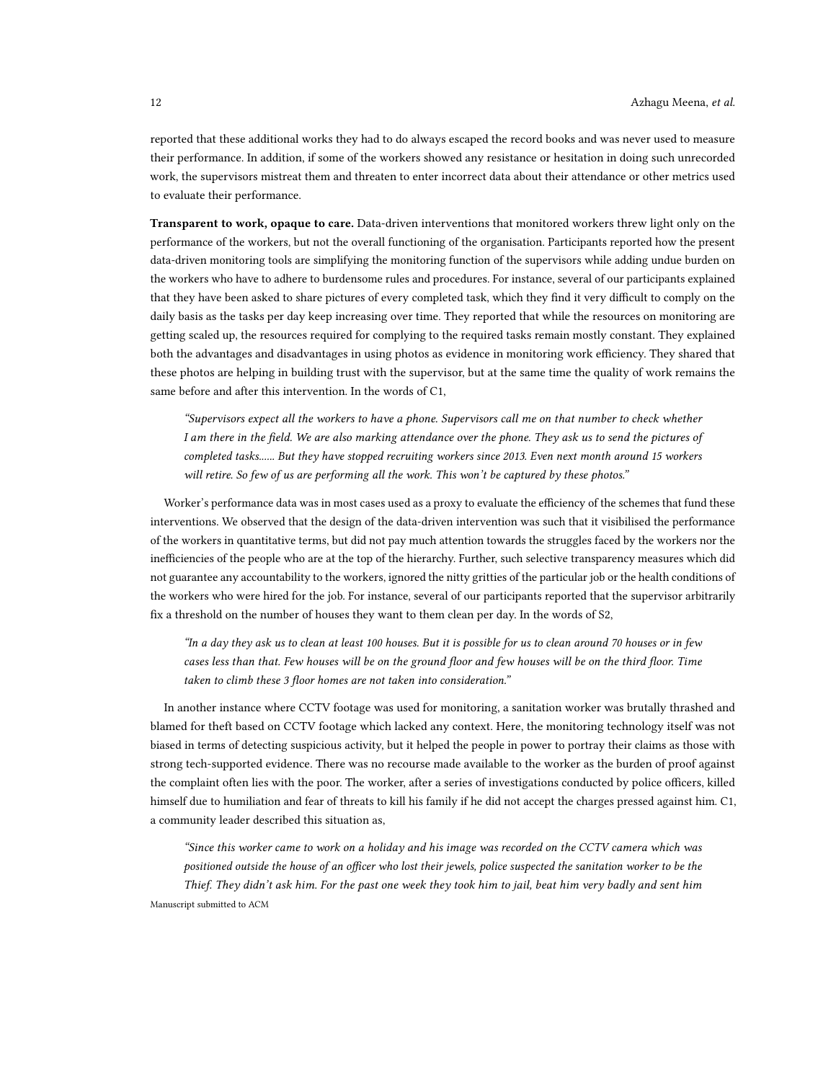reported that these additional works they had to do always escaped the record books and was never used to measure their performance. In addition, if some of the workers showed any resistance or hesitation in doing such unrecorded work, the supervisors mistreat them and threaten to enter incorrect data about their attendance or other metrics used to evaluate their performance.

Transparent to work, opaque to care. Data-driven interventions that monitored workers threw light only on the performance of the workers, but not the overall functioning of the organisation. Participants reported how the present data-driven monitoring tools are simplifying the monitoring function of the supervisors while adding undue burden on the workers who have to adhere to burdensome rules and procedures. For instance, several of our participants explained that they have been asked to share pictures of every completed task, which they find it very difficult to comply on the daily basis as the tasks per day keep increasing over time. They reported that while the resources on monitoring are getting scaled up, the resources required for complying to the required tasks remain mostly constant. They explained both the advantages and disadvantages in using photos as evidence in monitoring work efficiency. They shared that these photos are helping in building trust with the supervisor, but at the same time the quality of work remains the same before and after this intervention. In the words of C1,

"Supervisors expect all the workers to have a phone. Supervisors call me on that number to check whether I am there in the field. We are also marking attendance over the phone. They ask us to send the pictures of completed tasks...... But they have stopped recruiting workers since 2013. Even next month around 15 workers will retire. So few of us are performing all the work. This won't be captured by these photos."

Worker's performance data was in most cases used as a proxy to evaluate the efficiency of the schemes that fund these interventions. We observed that the design of the data-driven intervention was such that it visibilised the performance of the workers in quantitative terms, but did not pay much attention towards the struggles faced by the workers nor the inefficiencies of the people who are at the top of the hierarchy. Further, such selective transparency measures which did not guarantee any accountability to the workers, ignored the nitty gritties of the particular job or the health conditions of the workers who were hired for the job. For instance, several of our participants reported that the supervisor arbitrarily fix a threshold on the number of houses they want to them clean per day. In the words of S2,

"In a day they ask us to clean at least 100 houses. But it is possible for us to clean around 70 houses or in few cases less than that. Few houses will be on the ground floor and few houses will be on the third floor. Time taken to climb these 3 floor homes are not taken into consideration."

In another instance where CCTV footage was used for monitoring, a sanitation worker was brutally thrashed and blamed for theft based on CCTV footage which lacked any context. Here, the monitoring technology itself was not biased in terms of detecting suspicious activity, but it helped the people in power to portray their claims as those with strong tech-supported evidence. There was no recourse made available to the worker as the burden of proof against the complaint often lies with the poor. The worker, after a series of investigations conducted by police officers, killed himself due to humiliation and fear of threats to kill his family if he did not accept the charges pressed against him. C1, a community leader described this situation as,

"Since this worker came to work on a holiday and his image was recorded on the CCTV camera which was positioned outside the house of an officer who lost their jewels, police suspected the sanitation worker to be the Thief. They didn't ask him. For the past one week they took him to jail, beat him very badly and sent him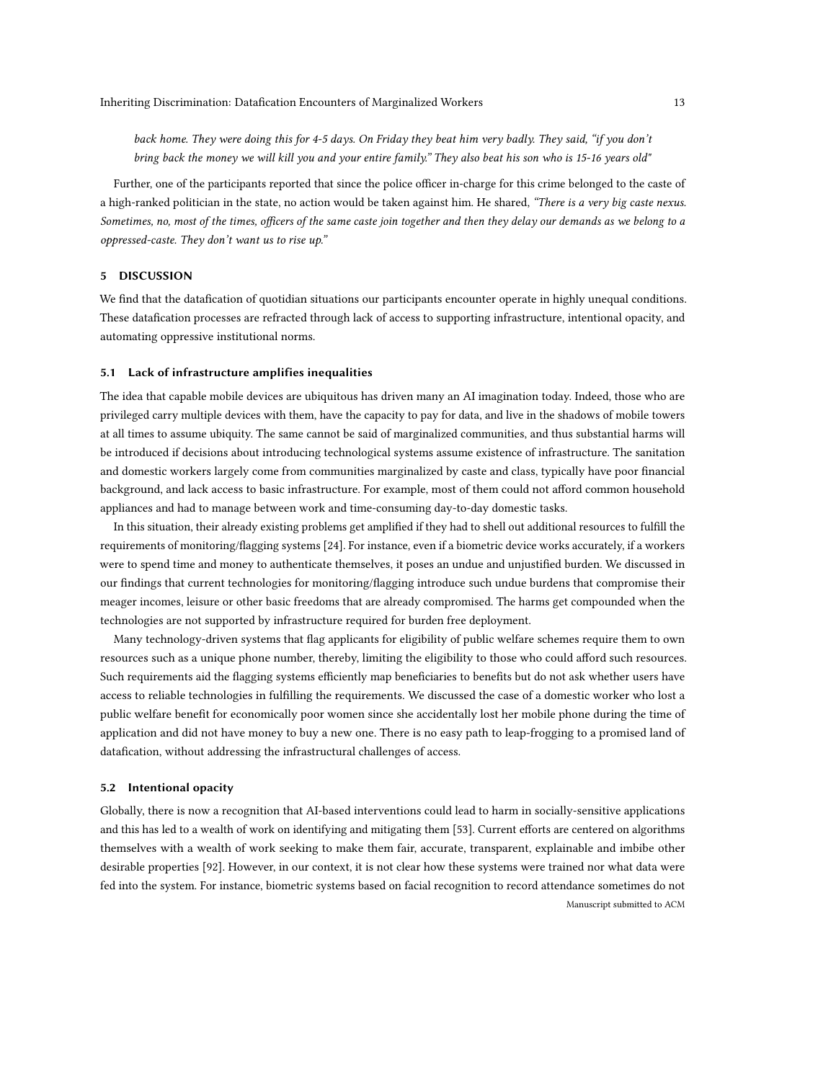back home. They were doing this for 4-5 days. On Friday they beat him very badly. They said, "if you don't bring back the money we will kill you and your entire family." They also beat his son who is 15-16 years old"

Further, one of the participants reported that since the police officer in-charge for this crime belonged to the caste of a high-ranked politician in the state, no action would be taken against him. He shared, "There is a very big caste nexus. Sometimes, no, most of the times, officers of the same caste join together and then they delay our demands as we belong to a oppressed-caste. They don't want us to rise up."

## 5 DISCUSSION

We find that the datafication of quotidian situations our participants encounter operate in highly unequal conditions. These datafication processes are refracted through lack of access to supporting infrastructure, intentional opacity, and automating oppressive institutional norms.

### 5.1 Lack of infrastructure amplifies inequalities

The idea that capable mobile devices are ubiquitous has driven many an AI imagination today. Indeed, those who are privileged carry multiple devices with them, have the capacity to pay for data, and live in the shadows of mobile towers at all times to assume ubiquity. The same cannot be said of marginalized communities, and thus substantial harms will be introduced if decisions about introducing technological systems assume existence of infrastructure. The sanitation and domestic workers largely come from communities marginalized by caste and class, typically have poor financial background, and lack access to basic infrastructure. For example, most of them could not afford common household appliances and had to manage between work and time-consuming day-to-day domestic tasks.

In this situation, their already existing problems get amplified if they had to shell out additional resources to fulfill the requirements of monitoring/flagging systems [\[24\]](#page-15-29). For instance, even if a biometric device works accurately, if a workers were to spend time and money to authenticate themselves, it poses an undue and unjustified burden. We discussed in our findings that current technologies for monitoring/flagging introduce such undue burdens that compromise their meager incomes, leisure or other basic freedoms that are already compromised. The harms get compounded when the technologies are not supported by infrastructure required for burden free deployment.

Many technology-driven systems that flag applicants for eligibility of public welfare schemes require them to own resources such as a unique phone number, thereby, limiting the eligibility to those who could afford such resources. Such requirements aid the flagging systems efficiently map beneficiaries to benefits but do not ask whether users have access to reliable technologies in fulfilling the requirements. We discussed the case of a domestic worker who lost a public welfare benefit for economically poor women since she accidentally lost her mobile phone during the time of application and did not have money to buy a new one. There is no easy path to leap-frogging to a promised land of datafication, without addressing the infrastructural challenges of access.

### 5.2 Intentional opacity

Globally, there is now a recognition that AI-based interventions could lead to harm in socially-sensitive applications and this has led to a wealth of work on identifying and mitigating them [\[53\]](#page-16-12). Current efforts are centered on algorithms themselves with a wealth of work seeking to make them fair, accurate, transparent, explainable and imbibe other desirable properties [\[92\]](#page-17-16). However, in our context, it is not clear how these systems were trained nor what data were fed into the system. For instance, biometric systems based on facial recognition to record attendance sometimes do not Manuscript submitted to ACM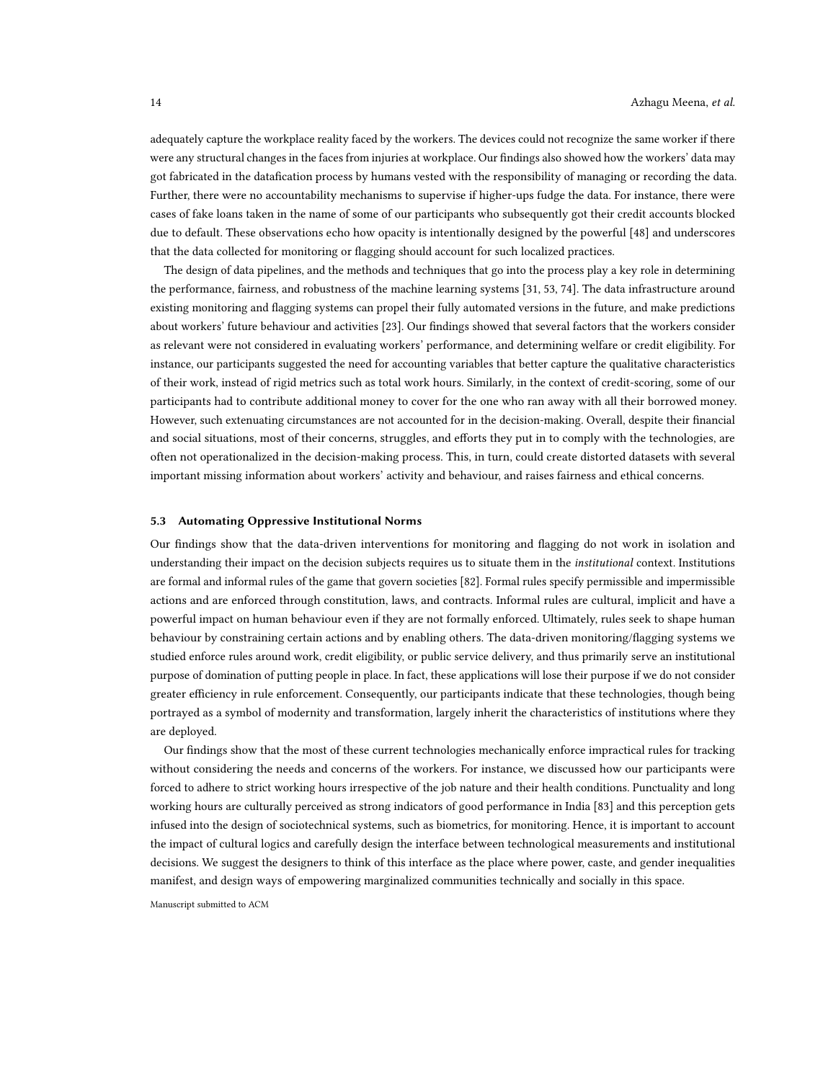adequately capture the workplace reality faced by the workers. The devices could not recognize the same worker if there were any structural changes in the faces from injuries at workplace. Our findings also showed how the workers' data may got fabricated in the datafication process by humans vested with the responsibility of managing or recording the data. Further, there were no accountability mechanisms to supervise if higher-ups fudge the data. For instance, there were cases of fake loans taken in the name of some of our participants who subsequently got their credit accounts blocked due to default. These observations echo how opacity is intentionally designed by the powerful [\[48\]](#page-16-0) and underscores that the data collected for monitoring or flagging should account for such localized practices.

The design of data pipelines, and the methods and techniques that go into the process play a key role in determining the performance, fairness, and robustness of the machine learning systems [\[31,](#page-15-30) [53,](#page-16-12) [74\]](#page-16-8). The data infrastructure around existing monitoring and flagging systems can propel their fully automated versions in the future, and make predictions about workers' future behaviour and activities [\[23\]](#page-15-11). Our findings showed that several factors that the workers consider as relevant were not considered in evaluating workers' performance, and determining welfare or credit eligibility. For instance, our participants suggested the need for accounting variables that better capture the qualitative characteristics of their work, instead of rigid metrics such as total work hours. Similarly, in the context of credit-scoring, some of our participants had to contribute additional money to cover for the one who ran away with all their borrowed money. However, such extenuating circumstances are not accounted for in the decision-making. Overall, despite their financial and social situations, most of their concerns, struggles, and efforts they put in to comply with the technologies, are often not operationalized in the decision-making process. This, in turn, could create distorted datasets with several important missing information about workers' activity and behaviour, and raises fairness and ethical concerns.

#### 5.3 Automating Oppressive Institutional Norms

Our findings show that the data-driven interventions for monitoring and flagging do not work in isolation and understanding their impact on the decision subjects requires us to situate them in the *institutional* context. Institutions are formal and informal rules of the game that govern societies [\[82\]](#page-17-17). Formal rules specify permissible and impermissible actions and are enforced through constitution, laws, and contracts. Informal rules are cultural, implicit and have a powerful impact on human behaviour even if they are not formally enforced. Ultimately, rules seek to shape human behaviour by constraining certain actions and by enabling others. The data-driven monitoring/flagging systems we studied enforce rules around work, credit eligibility, or public service delivery, and thus primarily serve an institutional purpose of domination of putting people in place. In fact, these applications will lose their purpose if we do not consider greater efficiency in rule enforcement. Consequently, our participants indicate that these technologies, though being portrayed as a symbol of modernity and transformation, largely inherit the characteristics of institutions where they are deployed.

Our findings show that the most of these current technologies mechanically enforce impractical rules for tracking without considering the needs and concerns of the workers. For instance, we discussed how our participants were forced to adhere to strict working hours irrespective of the job nature and their health conditions. Punctuality and long working hours are culturally perceived as strong indicators of good performance in India [\[83\]](#page-17-18) and this perception gets infused into the design of sociotechnical systems, such as biometrics, for monitoring. Hence, it is important to account the impact of cultural logics and carefully design the interface between technological measurements and institutional decisions. We suggest the designers to think of this interface as the place where power, caste, and gender inequalities manifest, and design ways of empowering marginalized communities technically and socially in this space.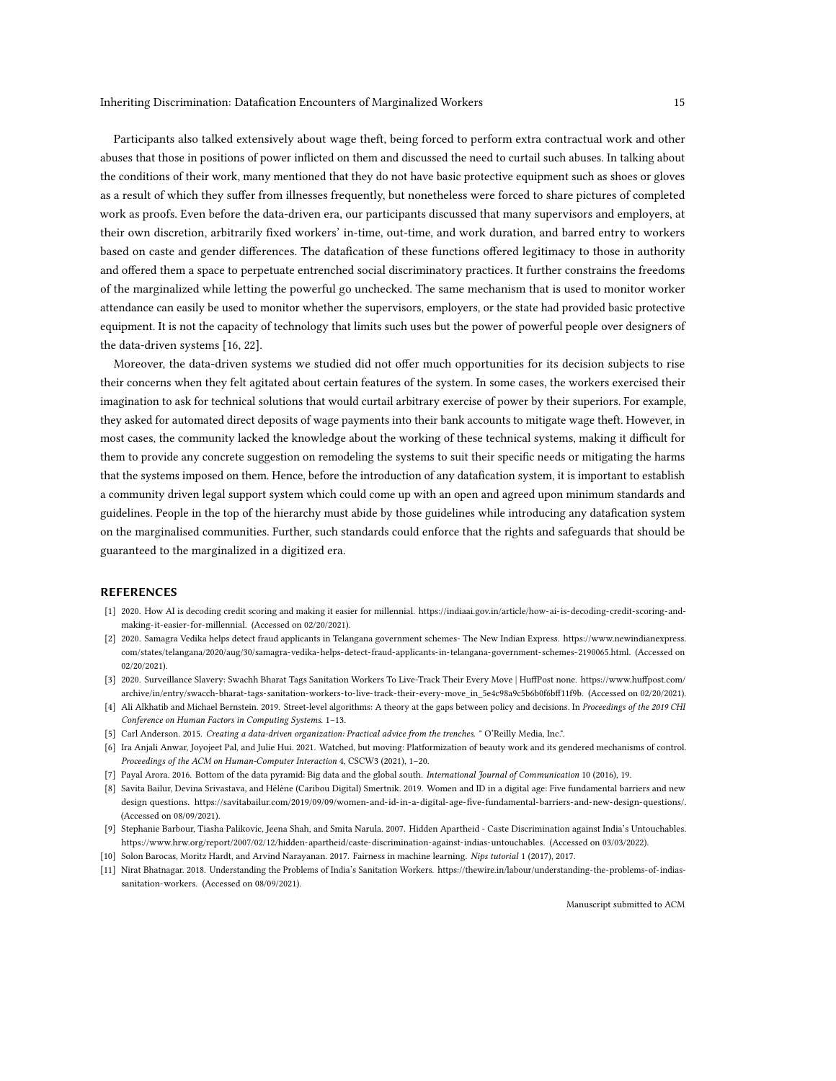Participants also talked extensively about wage theft, being forced to perform extra contractual work and other abuses that those in positions of power inflicted on them and discussed the need to curtail such abuses. In talking about the conditions of their work, many mentioned that they do not have basic protective equipment such as shoes or gloves as a result of which they suffer from illnesses frequently, but nonetheless were forced to share pictures of completed work as proofs. Even before the data-driven era, our participants discussed that many supervisors and employers, at their own discretion, arbitrarily fixed workers' in-time, out-time, and work duration, and barred entry to workers based on caste and gender differences. The datafication of these functions offered legitimacy to those in authority and offered them a space to perpetuate entrenched social discriminatory practices. It further constrains the freedoms of the marginalized while letting the powerful go unchecked. The same mechanism that is used to monitor worker attendance can easily be used to monitor whether the supervisors, employers, or the state had provided basic protective equipment. It is not the capacity of technology that limits such uses but the power of powerful people over designers of the data-driven systems [\[16,](#page-15-31) [22\]](#page-15-8).

Moreover, the data-driven systems we studied did not offer much opportunities for its decision subjects to rise their concerns when they felt agitated about certain features of the system. In some cases, the workers exercised their imagination to ask for technical solutions that would curtail arbitrary exercise of power by their superiors. For example, they asked for automated direct deposits of wage payments into their bank accounts to mitigate wage theft. However, in most cases, the community lacked the knowledge about the working of these technical systems, making it difficult for them to provide any concrete suggestion on remodeling the systems to suit their specific needs or mitigating the harms that the systems imposed on them. Hence, before the introduction of any datafication system, it is important to establish a community driven legal support system which could come up with an open and agreed upon minimum standards and guidelines. People in the top of the hierarchy must abide by those guidelines while introducing any datafication system on the marginalised communities. Further, such standards could enforce that the rights and safeguards that should be guaranteed to the marginalized in a digitized era.

## REFERENCES

- <span id="page-14-2"></span>[1] 2020. How AI is decoding credit scoring and making it easier for millennial. [https://indiaai.gov.in/article/how-ai-is-decoding-credit-scoring-and](https://indiaai.gov.in/article/how-ai-is-decoding-credit-scoring-and-making-it-easier-for-millennial)[making-it-easier-for-millennial.](https://indiaai.gov.in/article/how-ai-is-decoding-credit-scoring-and-making-it-easier-for-millennial) (Accessed on 02/20/2021).
- <span id="page-14-1"></span>[2] 2020. Samagra Vedika helps detect fraud applicants in Telangana government schemes- The New Indian Express. [https://www.newindianexpress.](https://www.newindianexpress.com/states/telangana/2020/aug/30/samagra-vedika-helps-detect-fraud-applicants-in-telangana-government-schemes-2190065.html) [com/states/telangana/2020/aug/30/samagra-vedika-helps-detect-fraud-applicants-in-telangana-government-schemes-2190065.html.](https://www.newindianexpress.com/states/telangana/2020/aug/30/samagra-vedika-helps-detect-fraud-applicants-in-telangana-government-schemes-2190065.html) (Accessed on 02/20/2021).
- <span id="page-14-0"></span>[3] 2020. Surveillance Slavery: Swachh Bharat Tags Sanitation Workers To Live-Track Their Every Move | HuffPost none. [https://www.huffpost.com/](https://www.huffpost.com/archive/in/entry/swacch-bharat-tags-sanitation-workers-to-live-track-their-every-move_in_5e4c98a9c5b6b0f6bff11f9b) [archive/in/entry/swacch-bharat-tags-sanitation-workers-to-live-track-their-every-move\\_in\\_5e4c98a9c5b6b0f6bff11f9b.](https://www.huffpost.com/archive/in/entry/swacch-bharat-tags-sanitation-workers-to-live-track-their-every-move_in_5e4c98a9c5b6b0f6bff11f9b) (Accessed on 02/20/2021).
- <span id="page-14-8"></span>[4] Ali Alkhatib and Michael Bernstein. 2019. Street-level algorithms: A theory at the gaps between policy and decisions. In Proceedings of the 2019 CHI Conference on Human Factors in Computing Systems. 1–13.
- <span id="page-14-4"></span>[5] Carl Anderson. 2015. Creating a data-driven organization: Practical advice from the trenches. " O'Reilly Media, Inc.".
- <span id="page-14-9"></span>[6] Ira Anjali Anwar, Joyojeet Pal, and Julie Hui. 2021. Watched, but moving: Platformization of beauty work and its gendered mechanisms of control. Proceedings of the ACM on Human-Computer Interaction 4, CSCW3 (2021), 1–20.
- <span id="page-14-6"></span>[7] Payal Arora. 2016. Bottom of the data pyramid: Big data and the global south. International Journal of Communication 10 (2016), 19.
- <span id="page-14-7"></span>[8] Savita Bailur, Devina Srivastava, and Hélène (Caribou Digital) Smertnik. 2019. Women and ID in a digital age: Five fundamental barriers and new design questions. [https://savitabailur.com/2019/09/09/women-and-id-in-a-digital-age-five-fundamental-barriers-and-new-design-questions/.](https://savitabailur.com/2019/09/09/women-and-id-in-a-digital-age-five- fundamental-barriers-and-new-design-questions/) (Accessed on 08/09/2021).
- <span id="page-14-10"></span>[9] Stephanie Barbour, Tiasha Palikovic, Jeena Shah, and Smita Narula. 2007. Hidden Apartheid - Caste Discrimination against India's Untouchables. [https://www.hrw.org/report/2007/02/12/hidden-apartheid/caste-discrimination-against-indias-untouchables.](https://www.hrw.org/report/2007/02/12/hidden-apartheid/caste-discrimination-against-indias-untouchables) (Accessed on 03/03/2022).
- <span id="page-14-5"></span>[10] Solon Barocas, Moritz Hardt, and Arvind Narayanan. 2017. Fairness in machine learning. Nips tutorial 1 (2017), 2017.
- <span id="page-14-3"></span>[11] Nirat Bhatnagar. 2018. Understanding the Problems of India's Sanitation Workers. [https://thewire.in/labour/understanding-the-problems-of-indias](https://thewire.in/labour/understanding-the-problems-of-indias-sanitation-workers)[sanitation-workers.](https://thewire.in/labour/understanding-the-problems-of-indias-sanitation-workers) (Accessed on 08/09/2021).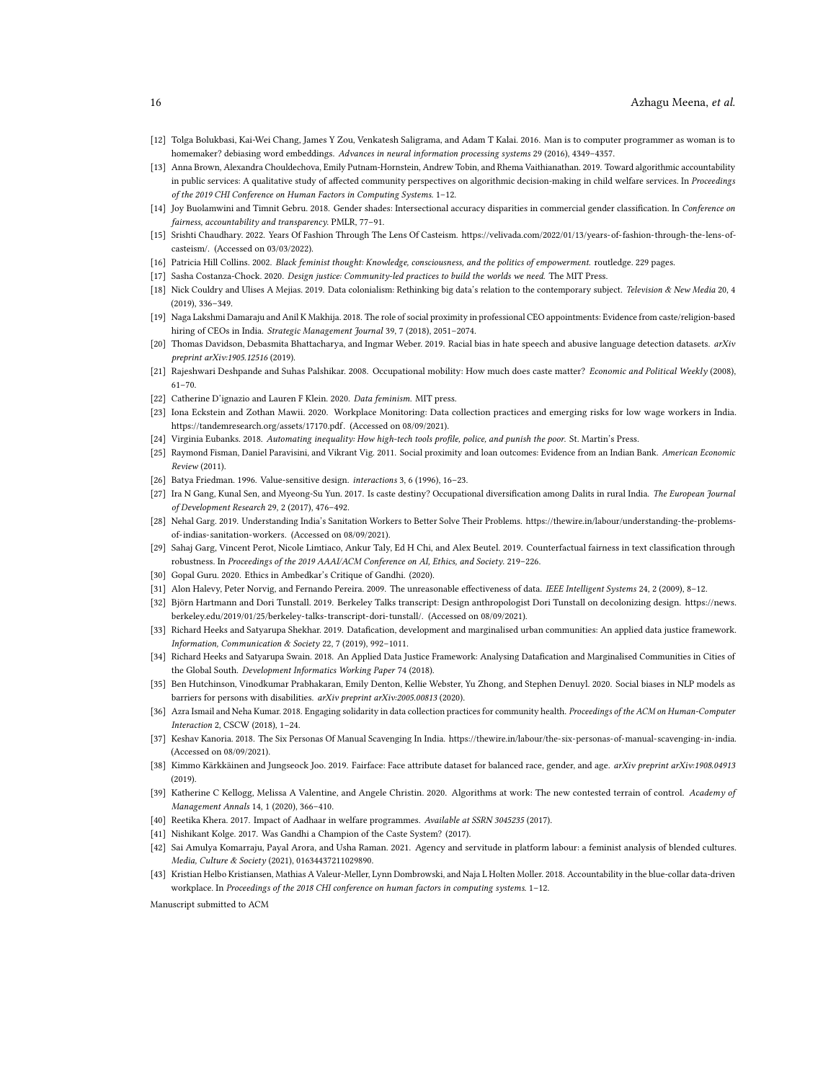- <span id="page-15-15"></span>[12] Tolga Bolukbasi, Kai-Wei Chang, James Y Zou, Venkatesh Saligrama, and Adam T Kalai. 2016. Man is to computer programmer as woman is to homemaker? debiasing word embeddings. Advances in neural information processing systems 29 (2016), 4349–4357.
- <span id="page-15-1"></span>[13] Anna Brown, Alexandra Chouldechova, Emily Putnam-Hornstein, Andrew Tobin, and Rhema Vaithianathan. 2019. Toward algorithmic accountability in public services: A qualitative study of affected community perspectives on algorithmic decision-making in child welfare services. In Proceedings of the 2019 CHI Conference on Human Factors in Computing Systems. 1–12.
- <span id="page-15-3"></span>[14] Joy Buolamwini and Timnit Gebru. 2018. Gender shades: Intersectional accuracy disparities in commercial gender classification. In Conference on fairness, accountability and transparency. PMLR, 77–91.
- <span id="page-15-27"></span>[15] Srishti Chaudhary. 2022. Years Of Fashion Through The Lens Of Casteism. [https://velivada.com/2022/01/13/years-of-fashion-through-the-lens-of](https://velivada.com/2022/01/13/years-of-fashion-through-the-lens-of-casteism/)[casteism/.](https://velivada.com/2022/01/13/years-of-fashion-through-the-lens-of-casteism/) (Accessed on 03/03/2022).
- <span id="page-15-31"></span>[16] Patricia Hill Collins. 2002. Black feminist thought: Knowledge, consciousness, and the politics of empowerment. routledge. 229 pages.
- <span id="page-15-9"></span>[17] Sasha Costanza-Chock. 2020. Design justice: Community-led practices to build the worlds we need. The MIT Press.
- <span id="page-15-13"></span>[18] Nick Couldry and Ulises A Mejias. 2019. Data colonialism: Rethinking big data's relation to the contemporary subject. Television & New Media 20, 4 (2019), 336–349.
- <span id="page-15-22"></span>[19] Naga Lakshmi Damaraju and Anil K Makhija. 2018. The role of social proximity in professional CEO appointments: Evidence from caste/religion-based hiring of CEOs in India. Strategic Management Journal 39, 7 (2018), 2051–2074.
- <span id="page-15-4"></span>[20] Thomas Davidson, Debasmita Bhattacharya, and Ingmar Weber. 2019. Racial bias in hate speech and abusive language detection datasets. arXiv preprint arXiv:1905.12516 (2019).
- <span id="page-15-26"></span>[21] Rajeshwari Deshpande and Suhas Palshikar. 2008. Occupational mobility: How much does caste matter? Economic and Political Weekly (2008), 61–70.
- <span id="page-15-8"></span>[22] Catherine D'ignazio and Lauren F Klein. 2020. Data feminism. MIT press.
- <span id="page-15-11"></span>[23] Iona Eckstein and Zothan Mawii. 2020. Workplace Monitoring: Data collection practices and emerging risks for low wage workers in India. [https://tandemresearch.org/assets/17170.pdf.](https://tandemresearch.org/assets/17170.pdf) (Accessed on 08/09/2021).
- <span id="page-15-29"></span>[24] Virginia Eubanks. 2018. Automating inequality: How high-tech tools profile, police, and punish the poor. St. Martin's Press.
- <span id="page-15-28"></span>[25] Raymond Fisman, Daniel Paravisini, and Vikrant Vig. 2011. Social proximity and loan outcomes: Evidence from an Indian Bank. American Economic Review (2011).
- <span id="page-15-6"></span>[26] Batya Friedman. 1996. Value-sensitive design. interactions 3, 6 (1996), 16–23.
- <span id="page-15-25"></span>[27] Ira N Gang, Kunal Sen, and Myeong-Su Yun. 2017. Is caste destiny? Occupational diversification among Dalits in rural India. The European Journal of Development Research 29, 2 (2017), 476–492.
- <span id="page-15-24"></span>[28] Nehal Garg. 2019. Understanding India's Sanitation Workers to Better Solve Their Problems. [https://thewire.in/labour/understanding-the-problems](https://thewire.in/labour/understanding-the-problems-of-indias-sanitation-workers)[of-indias-sanitation-workers.](https://thewire.in/labour/understanding-the-problems-of-indias-sanitation-workers) (Accessed on 08/09/2021).
- <span id="page-15-16"></span>[29] Sahaj Garg, Vincent Perot, Nicole Limtiaco, Ankur Taly, Ed H Chi, and Alex Beutel. 2019. Counterfactual fairness in text classification through robustness. In Proceedings of the 2019 AAAI/ACM Conference on AI, Ethics, and Society. 219–226.
- <span id="page-15-20"></span>[30] Gopal Guru. 2020. Ethics in Ambedkar's Critique of Gandhi. (2020).
- <span id="page-15-30"></span>[31] Alon Halevy, Peter Norvig, and Fernando Pereira. 2009. The unreasonable effectiveness of data. IEEE Intelligent Systems 24, 2 (2009), 8-12.
- <span id="page-15-7"></span>[32] Björn Hartmann and Dori Tunstall. 2019. Berkeley Talks transcript: Design anthropologist Dori Tunstall on decolonizing design. [https://news.](https://news.berkeley.edu/2019/01/25/berkeley-talks-transcript-dori-tunstall/) [berkeley.edu/2019/01/25/berkeley-talks-transcript-dori-tunstall/.](https://news.berkeley.edu/2019/01/25/berkeley-talks-transcript-dori-tunstall/) (Accessed on 08/09/2021).
- <span id="page-15-2"></span>[33] Richard Heeks and Satyarupa Shekhar. 2019. Datafication, development and marginalised urban communities: An applied data justice framework. Information, Communication & Society 22, 7 (2019), 992–1011.
- <span id="page-15-18"></span>[34] Richard Heeks and Satyarupa Swain. 2018. An Applied Data Justice Framework: Analysing Datafication and Marginalised Communities in Cities of the Global South. Development Informatics Working Paper 74 (2018).
- <span id="page-15-5"></span>[35] Ben Hutchinson, Vinodkumar Prabhakaran, Emily Denton, Kellie Webster, Yu Zhong, and Stephen Denuyl. 2020. Social biases in NLP models as barriers for persons with disabilities. arXiv preprint arXiv:2005.00813 (2020).
- <span id="page-15-19"></span>[36] Azra Ismail and Neha Kumar. 2018. Engaging solidarity in data collection practices for community health. Proceedings of the ACM on Human-Computer Interaction 2, CSCW (2018), 1–24.
- <span id="page-15-12"></span>[37] Keshav Kanoria. 2018. The Six Personas Of Manual Scavenging In India. [https://thewire.in/labour/the-six-personas-of-manual-scavenging-in-india.](https://thewire.in/labour/the-six-personas-of-manual-scavenging-in-india) (Accessed on 08/09/2021).
- <span id="page-15-14"></span>[38] Kimmo Kärkkäinen and Jungseock Joo. 2019. Fairface: Face attribute dataset for balanced race, gender, and age. arXiv preprint arXiv:1908.04913  $(2019)$
- <span id="page-15-23"></span>[39] Katherine C Kellogg, Melissa A Valentine, and Angele Christin. 2020. Algorithms at work: The new contested terrain of control. Academy of Management Annals 14, 1 (2020), 366–410.
- <span id="page-15-17"></span>[40] Reetika Khera. 2017. Impact of Aadhaar in welfare programmes. Available at SSRN 3045235 (2017).
- <span id="page-15-21"></span>[41] Nishikant Kolge. 2017. Was Gandhi a Champion of the Caste System? (2017).
- <span id="page-15-10"></span>[42] Sai Amulya Komarraju, Payal Arora, and Usha Raman. 2021. Agency and servitude in platform labour: a feminist analysis of blended cultures. Media, Culture & Society (2021), 01634437211029890.
- <span id="page-15-0"></span>[43] Kristian Helbo Kristiansen, Mathias A Valeur-Meller, Lynn Dombrowski, and Naja L Holten Moller. 2018. Accountability in the blue-collar data-driven workplace. In Proceedings of the 2018 CHI conference on human factors in computing systems. 1–12.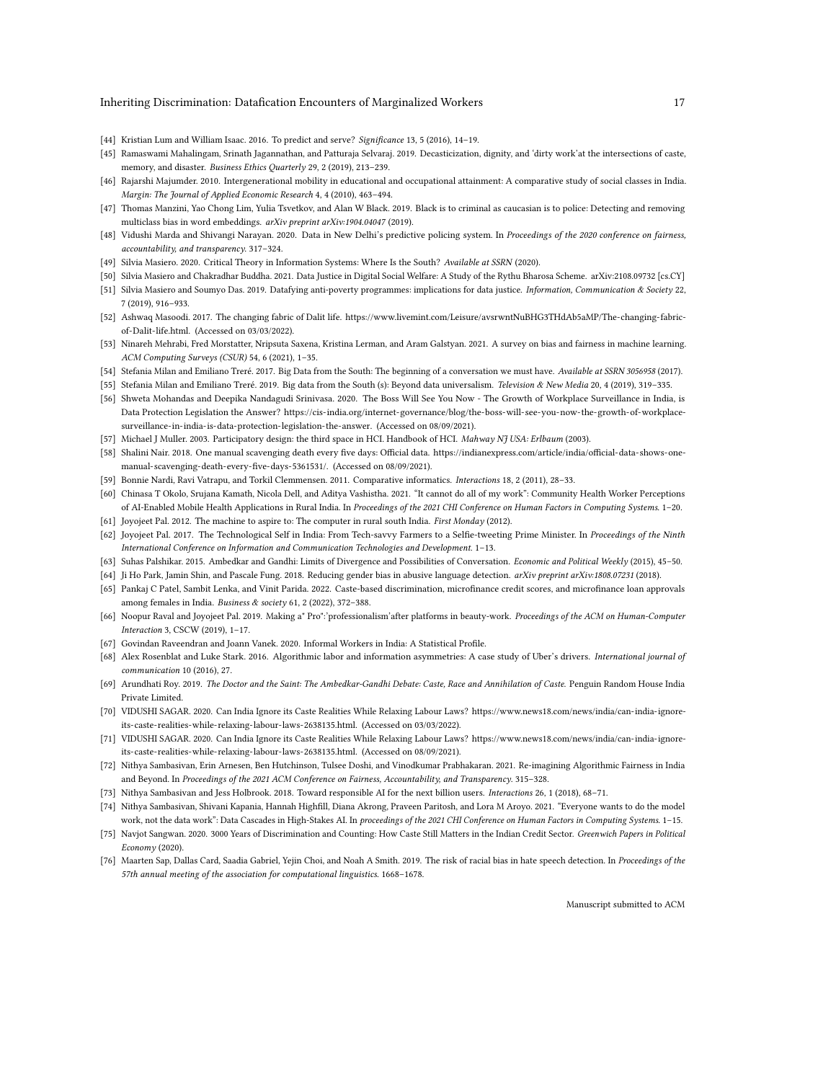### Inheriting Discrimination: Datafication Encounters of Marginalized Workers 17

- <span id="page-16-13"></span>[44] Kristian Lum and William Isaac. 2016. To predict and serve? Significance 13, 5 (2016), 14–19.
- <span id="page-16-22"></span>[45] Ramaswami Mahalingam, Srinath Jagannathan, and Patturaja Selvaraj. 2019. Decasticization, dignity, and 'dirty work'at the intersections of caste, memory, and disaster. Business Ethics Quarterly 29, 2 (2019), 213–239.
- <span id="page-16-29"></span>[46] Rajarshi Majumder. 2010. Intergenerational mobility in educational and occupational attainment: A comparative study of social classes in India. Margin: The Journal of Applied Economic Research 4, 4 (2010), 463–494.
- <span id="page-16-14"></span>[47] Thomas Manzini, Yao Chong Lim, Yulia Tsvetkov, and Alan W Black. 2019. Black is to criminal as caucasian is to police: Detecting and removing multiclass bias in word embeddings. arXiv preprint arXiv:1904.04047 (2019).
- <span id="page-16-0"></span>[48] Vidushi Marda and Shivangi Narayan. 2020. Data in New Delhi's predictive policing system. In Proceedings of the 2020 conference on fairness, accountability, and transparency. 317–324.
- <span id="page-16-1"></span>[49] Silvia Masiero. 2020. Critical Theory in Information Systems: Where Is the South? Available at SSRN (2020).
- <span id="page-16-3"></span>[50] Silvia Masiero and Chakradhar Buddha. 2021. Data Justice in Digital Social Welfare: A Study of the Rythu Bharosa Scheme. arXiv[:2108.09732](https://arxiv.org/abs/2108.09732) [cs.CY]
- <span id="page-16-5"></span>[51] Silvia Masiero and Soumyo Das. 2019. Datafying anti-poverty programmes: implications for data justice. Information, Communication & Society 22, 7 (2019), 916–933.
- <span id="page-16-30"></span>[52] Ashwaq Masoodi. 2017. The changing fabric of Dalit life. [https://www.livemint.com/Leisure/avsrwntNuBHG3THdAb5aMP/The-changing-fabric](https://www.livemint.com/Leisure/avsrwntNuBHG3THdAb5aMP/The-changing-fabric-of-Dalit-life.html)[of-Dalit-life.html.](https://www.livemint.com/Leisure/avsrwntNuBHG3THdAb5aMP/The-changing-fabric-of-Dalit-life.html) (Accessed on 03/03/2022).
- <span id="page-16-12"></span>[53] Ninareh Mehrabi, Fred Morstatter, Nripsuta Saxena, Kristina Lerman, and Aram Galstyan. 2021. A survey on bias and fairness in machine learning. ACM Computing Surveys (CSUR) 54, 6 (2021), 1–35.
- <span id="page-16-18"></span>[54] Stefania Milan and Emiliano Treré. 2017. Big Data from the South: The beginning of a conversation we must have. Available at SSRN 3056958 (2017).
- <span id="page-16-17"></span>[55] Stefania Milan and Emiliano Treré. 2019. Big data from the South (s): Beyond data universalism. Television & New Media 20, 4 (2019), 319-335.
- <span id="page-16-24"></span>[56] Shweta Mohandas and Deepika Nandagudi Srinivasa. 2020. The Boss Will See You Now - The Growth of Workplace Surveillance in India, is Data Protection Legislation the Answer? [https://cis-india.org/internet-governance/blog/the-boss-will-see-you-now-the-growth-of-workplace](https://cis-india.org/internet-governance/blog/the-boss-will-see-you-now-the-growth-of-workplace-surveillance-in-india-is-data-protection-legislation-the-answer)[surveillance-in-india-is-data-protection-legislation-the-answer.](https://cis-india.org/internet-governance/blog/the-boss-will-see-you-now-the-growth-of-workplace-surveillance-in-india-is-data-protection-legislation-the-answer) (Accessed on 08/09/2021).
- <span id="page-16-2"></span>[57] Michael J Muller. 2003. Participatory design: the third space in HCI. Handbook of HCI. Mahway NJ USA: Erlbaum (2003).
- <span id="page-16-25"></span>[58] Shalini Nair. 2018. One manual scavenging death every five days: Official data. [https://indianexpress.com/article/india/official-data-shows-one](https://indianexpress.com/article/india/official-data-shows-one-manual-scavenging-death-every-five-days-5361531/)[manual-scavenging-death-every-five-days-5361531/.](https://indianexpress.com/article/india/official-data-shows-one-manual-scavenging-death-every-five-days-5361531/) (Accessed on 08/09/2021).
- <span id="page-16-28"></span>[59] Bonnie Nardi, Ravi Vatrapu, and Torkil Clemmensen. 2011. Comparative informatics. Interactions 18, 2 (2011), 28–33.
- <span id="page-16-19"></span>[60] Chinasa T Okolo, Srujana Kamath, Nicola Dell, and Aditya Vashistha. 2021. "It cannot do all of my work": Community Health Worker Perceptions of AI-Enabled Mobile Health Applications in Rural India. In Proceedings of the 2021 CHI Conference on Human Factors in Computing Systems. 1–20.
- <span id="page-16-4"></span>[61] Joyojeet Pal. 2012. The machine to aspire to: The computer in rural south India. First Monday (2012).
- <span id="page-16-11"></span>[62] Joyojeet Pal. 2017. The Technological Self in India: From Tech-savvy Farmers to a Selfie-tweeting Prime Minister. In Proceedings of the Ninth International Conference on Information and Communication Technologies and Development. 1–13.
- <span id="page-16-20"></span>[63] Suhas Palshikar. 2015. Ambedkar and Gandhi: Limits of Divergence and Possibilities of Conversation. Economic and Political Weekly (2015), 45–50.
- <span id="page-16-16"></span>[64] Ji Ho Park, Jamin Shin, and Pascale Fung. 2018. Reducing gender bias in abusive language detection. arXiv preprint arXiv:1808.07231 (2018).
- <span id="page-16-31"></span>[65] Pankaj C Patel, Sambit Lenka, and Vinit Parida. 2022. Caste-based discrimination, microfinance credit scores, and microfinance loan approvals among females in India. Business & society 61, 2 (2022), 372–388.
- <span id="page-16-9"></span>[66] Noopur Raval and Joyojeet Pal. 2019. Making a" Pro":'professionalism'after platforms in beauty-work. Proceedings of the ACM on Human-Computer Interaction 3, CSCW (2019), 1–17.
- <span id="page-16-27"></span>[67] Govindan Raveendran and Joann Vanek. 2020. Informal Workers in India: A Statistical Profile.
- <span id="page-16-23"></span>[68] Alex Rosenblat and Luke Stark. 2016. Algorithmic labor and information asymmetries: A case study of Uber's drivers. International journal of communication 10 (2016), 27.
- <span id="page-16-21"></span>[69] Arundhati Roy. 2019. The Doctor and the Saint: The Ambedkar-Gandhi Debate: Caste, Race and Annihilation of Caste. Penguin Random House India Private Limited.
- <span id="page-16-10"></span>[70] VIDUSHI SAGAR. 2020. Can India Ignore its Caste Realities While Relaxing Labour Laws? [https://www.news18.com/news/india/can-india-ignore](https://www.news18.com/news/india/can-india-ignore-its-caste-realities-while-relaxing-labour-laws-2638135.html)[its-caste-realities-while-relaxing-labour-laws-2638135.html.](https://www.news18.com/news/india/can-india-ignore-its-caste-realities-while-relaxing-labour-laws-2638135.html) (Accessed on 03/03/2022).
- <span id="page-16-26"></span>[71] VIDUSHI SAGAR. 2020. Can India Ignore its Caste Realities While Relaxing Labour Laws? [https://www.news18.com/news/india/can-india-ignore](https://www.news18.com/news/india/can-india-ignore-its-caste-realities-while-relaxing-labour-laws-2638135.html)[its-caste-realities-while-relaxing-labour-laws-2638135.html.](https://www.news18.com/news/india/can-india-ignore-its-caste-realities-while-relaxing-labour-laws-2638135.html) (Accessed on 08/09/2021).
- <span id="page-16-6"></span>[72] Nithya Sambasivan, Erin Arnesen, Ben Hutchinson, Tulsee Doshi, and Vinodkumar Prabhakaran. 2021. Re-imagining Algorithmic Fairness in India and Beyond. In Proceedings of the 2021 ACM Conference on Fairness, Accountability, and Transparency. 315–328.
- <span id="page-16-7"></span>[73] Nithya Sambasivan and Jess Holbrook. 2018. Toward responsible AI for the next billion users. Interactions 26, 1 (2018), 68–71.
- <span id="page-16-8"></span>[74] Nithya Sambasivan, Shivani Kapania, Hannah Highfill, Diana Akrong, Praveen Paritosh, and Lora M Aroyo. 2021. "Everyone wants to do the model work, not the data work": Data Cascades in High-Stakes AI. In proceedings of the 2021 CHI Conference on Human Factors in Computing Systems. 1-15.
- <span id="page-16-32"></span>[75] Navjot Sangwan. 2020. 3000 Years of Discrimination and Counting: How Caste Still Matters in the Indian Credit Sector. Greenwich Papers in Political  $Economy(2020)$ .
- <span id="page-16-15"></span>[76] Maarten Sap, Dallas Card, Saadia Gabriel, Yejin Choi, and Noah A Smith. 2019. The risk of racial bias in hate speech detection. In Proceedings of the 57th annual meeting of the association for computational linguistics. 1668–1678.